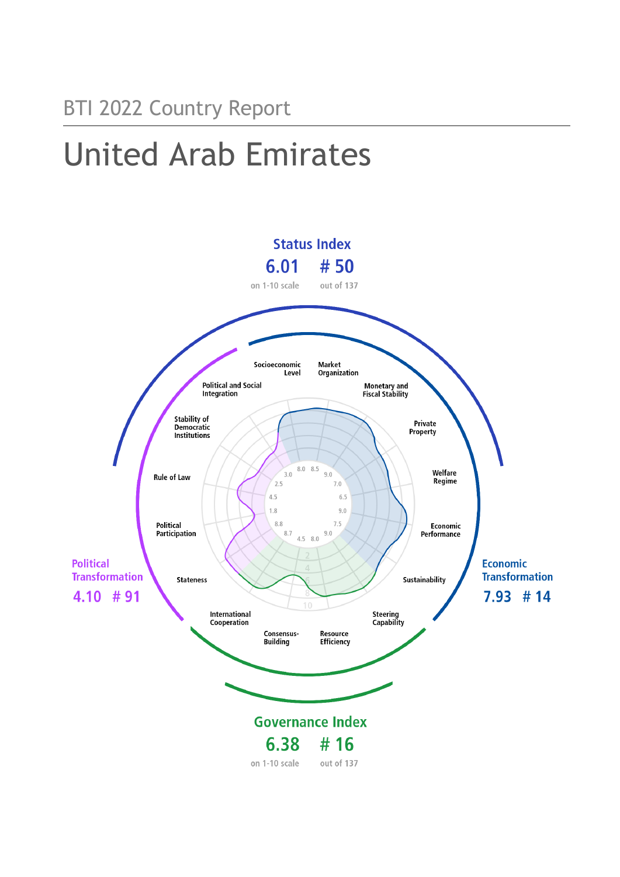## BTI 2022 Country Report

# United Arab Emirates

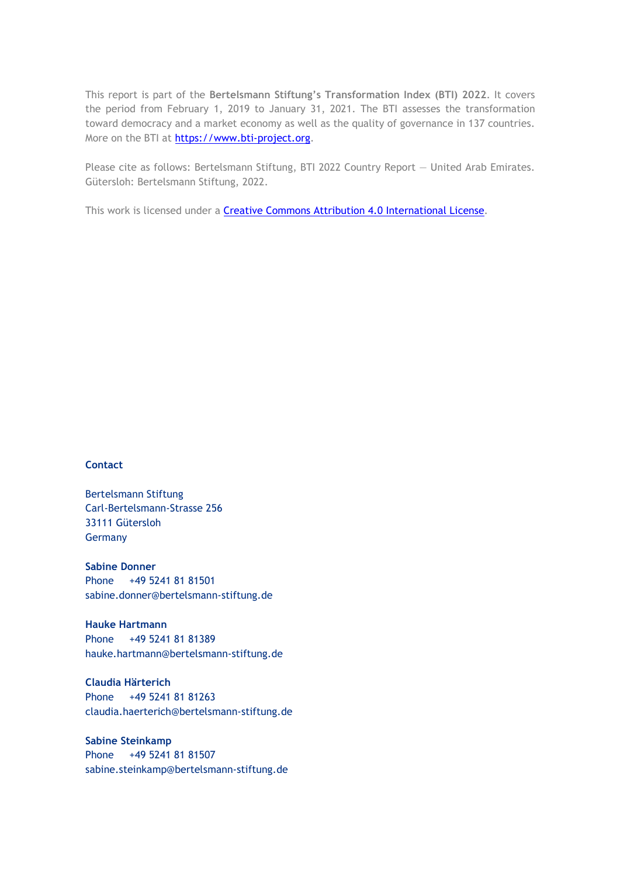This report is part of the **Bertelsmann Stiftung's Transformation Index (BTI) 2022**. It covers the period from February 1, 2019 to January 31, 2021. The BTI assesses the transformation toward democracy and a market economy as well as the quality of governance in 137 countries. More on the BTI at [https://www.bti-project.org.](https://www.bti-project.org/)

Please cite as follows: Bertelsmann Stiftung, BTI 2022 Country Report — United Arab Emirates. Gütersloh: Bertelsmann Stiftung, 2022.

This work is licensed under a **Creative Commons Attribution 4.0 International License**.

#### **Contact**

Bertelsmann Stiftung Carl-Bertelsmann-Strasse 256 33111 Gütersloh Germany

**Sabine Donner** Phone +49 5241 81 81501 sabine.donner@bertelsmann-stiftung.de

**Hauke Hartmann** Phone +49 5241 81 81389 hauke.hartmann@bertelsmann-stiftung.de

**Claudia Härterich** Phone +49 5241 81 81263 claudia.haerterich@bertelsmann-stiftung.de

**Sabine Steinkamp** Phone +49 5241 81 81507 sabine.steinkamp@bertelsmann-stiftung.de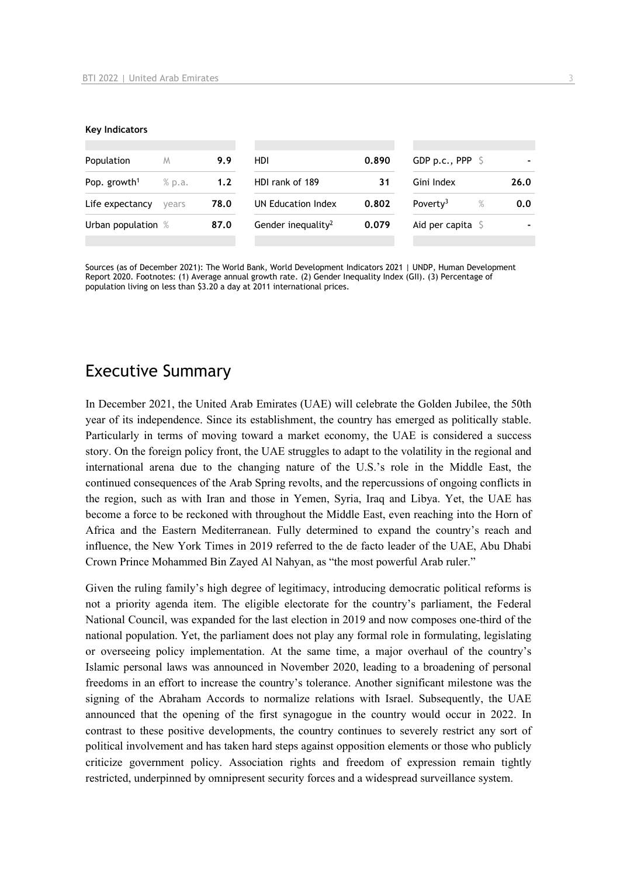#### **Key Indicators**

| Population<br>M          |        | 9.9  | HDI                            | 0.890 | GDP p.c., PPP $\ S$          |      |  |
|--------------------------|--------|------|--------------------------------|-------|------------------------------|------|--|
| Pop. growth <sup>1</sup> | % p.a. | 1.2  | HDI rank of 189                | 31    | Gini Index                   | 26.0 |  |
| Life expectancy          | vears  | 78.0 | UN Education Index             | 0.802 | $\%$<br>Poverty <sup>3</sup> | 0.0  |  |
| Urban population %       |        | 87.0 | Gender inequality <sup>2</sup> | 0.079 | Aid per capita S             |      |  |
|                          |        |      |                                |       |                              |      |  |

Sources (as of December 2021): The World Bank, World Development Indicators 2021 | UNDP, Human Development Report 2020. Footnotes: (1) Average annual growth rate. (2) Gender Inequality Index (GII). (3) Percentage of population living on less than \$3.20 a day at 2011 international prices.

## Executive Summary

In December 2021, the United Arab Emirates (UAE) will celebrate the Golden Jubilee, the 50th year of its independence. Since its establishment, the country has emerged as politically stable. Particularly in terms of moving toward a market economy, the UAE is considered a success story. On the foreign policy front, the UAE struggles to adapt to the volatility in the regional and international arena due to the changing nature of the U.S.'s role in the Middle East, the continued consequences of the Arab Spring revolts, and the repercussions of ongoing conflicts in the region, such as with Iran and those in Yemen, Syria, Iraq and Libya. Yet, the UAE has become a force to be reckoned with throughout the Middle East, even reaching into the Horn of Africa and the Eastern Mediterranean. Fully determined to expand the country's reach and influence, the New York Times in 2019 referred to the de facto leader of the UAE, Abu Dhabi Crown Prince Mohammed Bin Zayed Al Nahyan, as "the most powerful Arab ruler."

Given the ruling family's high degree of legitimacy, introducing democratic political reforms is not a priority agenda item. The eligible electorate for the country's parliament, the Federal National Council, was expanded for the last election in 2019 and now composes one-third of the national population. Yet, the parliament does not play any formal role in formulating, legislating or overseeing policy implementation. At the same time, a major overhaul of the country's Islamic personal laws was announced in November 2020, leading to a broadening of personal freedoms in an effort to increase the country's tolerance. Another significant milestone was the signing of the Abraham Accords to normalize relations with Israel. Subsequently, the UAE announced that the opening of the first synagogue in the country would occur in 2022. In contrast to these positive developments, the country continues to severely restrict any sort of political involvement and has taken hard steps against opposition elements or those who publicly criticize government policy. Association rights and freedom of expression remain tightly restricted, underpinned by omnipresent security forces and a widespread surveillance system.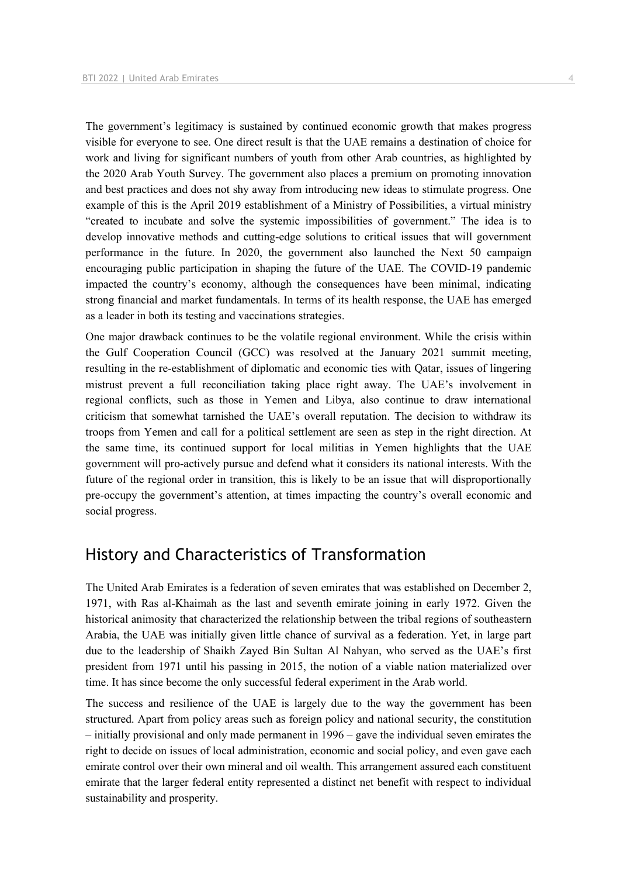The government's legitimacy is sustained by continued economic growth that makes progress visible for everyone to see. One direct result is that the UAE remains a destination of choice for work and living for significant numbers of youth from other Arab countries, as highlighted by the 2020 Arab Youth Survey. The government also places a premium on promoting innovation and best practices and does not shy away from introducing new ideas to stimulate progress. One example of this is the April 2019 establishment of a Ministry of Possibilities, a virtual ministry "created to incubate and solve the systemic impossibilities of government." The idea is to develop innovative methods and cutting-edge solutions to critical issues that will government performance in the future. In 2020, the government also launched the Next 50 campaign encouraging public participation in shaping the future of the UAE. The COVID-19 pandemic impacted the country's economy, although the consequences have been minimal, indicating strong financial and market fundamentals. In terms of its health response, the UAE has emerged as a leader in both its testing and vaccinations strategies.

One major drawback continues to be the volatile regional environment. While the crisis within the Gulf Cooperation Council (GCC) was resolved at the January 2021 summit meeting, resulting in the re-establishment of diplomatic and economic ties with Qatar, issues of lingering mistrust prevent a full reconciliation taking place right away. The UAE's involvement in regional conflicts, such as those in Yemen and Libya, also continue to draw international criticism that somewhat tarnished the UAE's overall reputation. The decision to withdraw its troops from Yemen and call for a political settlement are seen as step in the right direction. At the same time, its continued support for local militias in Yemen highlights that the UAE government will pro-actively pursue and defend what it considers its national interests. With the future of the regional order in transition, this is likely to be an issue that will disproportionally pre-occupy the government's attention, at times impacting the country's overall economic and social progress.

## History and Characteristics of Transformation

The United Arab Emirates is a federation of seven emirates that was established on December 2, 1971, with Ras al-Khaimah as the last and seventh emirate joining in early 1972. Given the historical animosity that characterized the relationship between the tribal regions of southeastern Arabia, the UAE was initially given little chance of survival as a federation. Yet, in large part due to the leadership of Shaikh Zayed Bin Sultan Al Nahyan, who served as the UAE's first president from 1971 until his passing in 2015, the notion of a viable nation materialized over time. It has since become the only successful federal experiment in the Arab world.

The success and resilience of the UAE is largely due to the way the government has been structured. Apart from policy areas such as foreign policy and national security, the constitution – initially provisional and only made permanent in 1996 – gave the individual seven emirates the right to decide on issues of local administration, economic and social policy, and even gave each emirate control over their own mineral and oil wealth. This arrangement assured each constituent emirate that the larger federal entity represented a distinct net benefit with respect to individual sustainability and prosperity.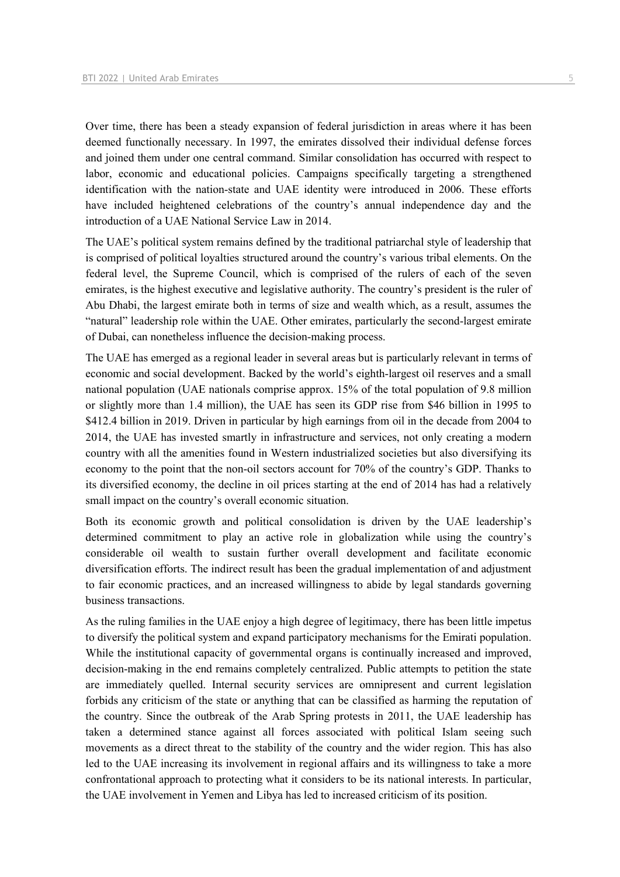Over time, there has been a steady expansion of federal jurisdiction in areas where it has been deemed functionally necessary. In 1997, the emirates dissolved their individual defense forces and joined them under one central command. Similar consolidation has occurred with respect to labor, economic and educational policies. Campaigns specifically targeting a strengthened identification with the nation-state and UAE identity were introduced in 2006. These efforts have included heightened celebrations of the country's annual independence day and the introduction of a UAE National Service Law in 2014.

The UAE's political system remains defined by the traditional patriarchal style of leadership that is comprised of political loyalties structured around the country's various tribal elements. On the federal level, the Supreme Council, which is comprised of the rulers of each of the seven emirates, is the highest executive and legislative authority. The country's president is the ruler of Abu Dhabi, the largest emirate both in terms of size and wealth which, as a result, assumes the "natural" leadership role within the UAE. Other emirates, particularly the second-largest emirate of Dubai, can nonetheless influence the decision-making process.

The UAE has emerged as a regional leader in several areas but is particularly relevant in terms of economic and social development. Backed by the world's eighth-largest oil reserves and a small national population (UAE nationals comprise approx. 15% of the total population of 9.8 million or slightly more than 1.4 million), the UAE has seen its GDP rise from \$46 billion in 1995 to \$412.4 billion in 2019. Driven in particular by high earnings from oil in the decade from 2004 to 2014, the UAE has invested smartly in infrastructure and services, not only creating a modern country with all the amenities found in Western industrialized societies but also diversifying its economy to the point that the non-oil sectors account for 70% of the country's GDP. Thanks to its diversified economy, the decline in oil prices starting at the end of 2014 has had a relatively small impact on the country's overall economic situation.

Both its economic growth and political consolidation is driven by the UAE leadership's determined commitment to play an active role in globalization while using the country's considerable oil wealth to sustain further overall development and facilitate economic diversification efforts. The indirect result has been the gradual implementation of and adjustment to fair economic practices, and an increased willingness to abide by legal standards governing business transactions.

As the ruling families in the UAE enjoy a high degree of legitimacy, there has been little impetus to diversify the political system and expand participatory mechanisms for the Emirati population. While the institutional capacity of governmental organs is continually increased and improved, decision-making in the end remains completely centralized. Public attempts to petition the state are immediately quelled. Internal security services are omnipresent and current legislation forbids any criticism of the state or anything that can be classified as harming the reputation of the country. Since the outbreak of the Arab Spring protests in 2011, the UAE leadership has taken a determined stance against all forces associated with political Islam seeing such movements as a direct threat to the stability of the country and the wider region. This has also led to the UAE increasing its involvement in regional affairs and its willingness to take a more confrontational approach to protecting what it considers to be its national interests. In particular, the UAE involvement in Yemen and Libya has led to increased criticism of its position.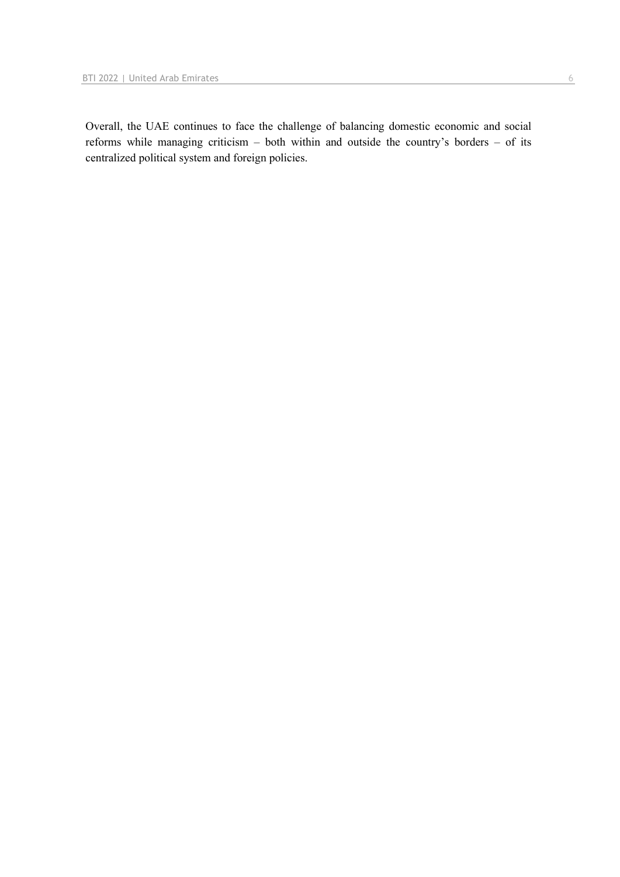Overall, the UAE continues to face the challenge of balancing domestic economic and social reforms while managing criticism – both within and outside the country's borders – of its centralized political system and foreign policies.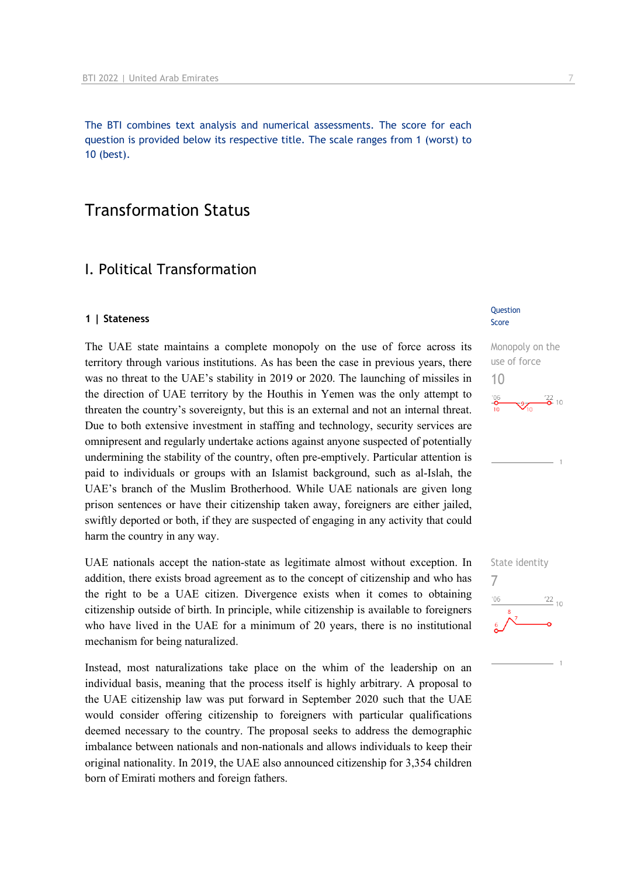The BTI combines text analysis and numerical assessments. The score for each question is provided below its respective title. The scale ranges from 1 (worst) to 10 (best).

## Transformation Status

## I. Political Transformation

#### **1 | Stateness**

The UAE state maintains a complete monopoly on the use of force across its territory through various institutions. As has been the case in previous years, there was no threat to the UAE's stability in 2019 or 2020. The launching of missiles in the direction of UAE territory by the Houthis in Yemen was the only attempt to threaten the country's sovereignty, but this is an external and not an internal threat. Due to both extensive investment in staffing and technology, security services are omnipresent and regularly undertake actions against anyone suspected of potentially undermining the stability of the country, often pre-emptively. Particular attention is paid to individuals or groups with an Islamist background, such as al-Islah, the UAE's branch of the Muslim Brotherhood. While UAE nationals are given long prison sentences or have their citizenship taken away, foreigners are either jailed, swiftly deported or both, if they are suspected of engaging in any activity that could harm the country in any way.

UAE nationals accept the nation-state as legitimate almost without exception. In addition, there exists broad agreement as to the concept of citizenship and who has the right to be a UAE citizen. Divergence exists when it comes to obtaining citizenship outside of birth. In principle, while citizenship is available to foreigners who have lived in the UAE for a minimum of 20 years, there is no institutional mechanism for being naturalized.

Instead, most naturalizations take place on the whim of the leadership on an individual basis, meaning that the process itself is highly arbitrary. A proposal to the UAE citizenship law was put forward in September 2020 such that the UAE would consider offering citizenship to foreigners with particular qualifications deemed necessary to the country. The proposal seeks to address the demographic imbalance between nationals and non-nationals and allows individuals to keep their original nationality. In 2019, the UAE also announced citizenship for 3,354 children born of Emirati mothers and foreign fathers.

#### Question Score

Monopoly on the use of force 10



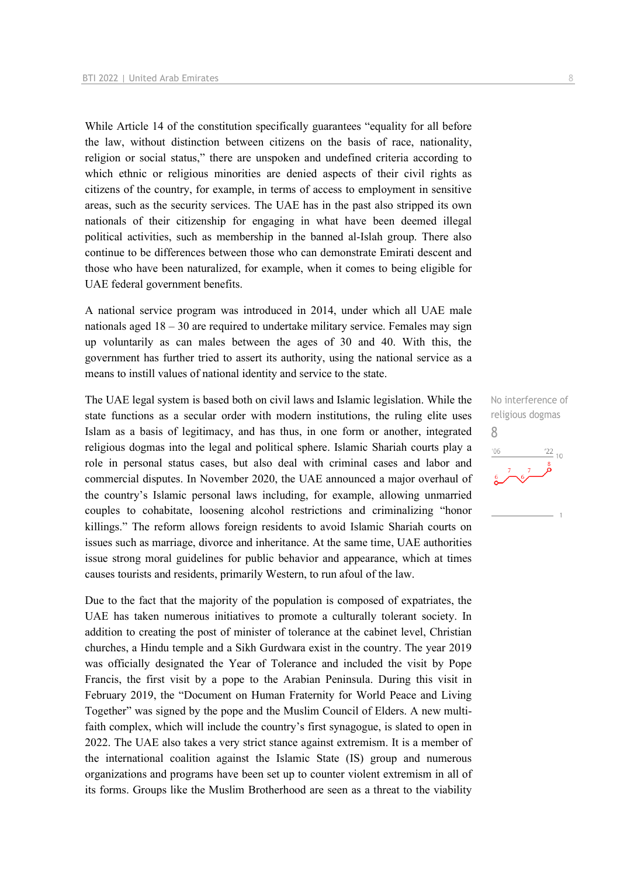While Article 14 of the constitution specifically guarantees "equality for all before the law, without distinction between citizens on the basis of race, nationality, religion or social status," there are unspoken and undefined criteria according to which ethnic or religious minorities are denied aspects of their civil rights as citizens of the country, for example, in terms of access to employment in sensitive areas, such as the security services. The UAE has in the past also stripped its own nationals of their citizenship for engaging in what have been deemed illegal political activities, such as membership in the banned al-Islah group. There also continue to be differences between those who can demonstrate Emirati descent and those who have been naturalized, for example, when it comes to being eligible for UAE federal government benefits.

A national service program was introduced in 2014, under which all UAE male nationals aged 18 – 30 are required to undertake military service. Females may sign up voluntarily as can males between the ages of 30 and 40. With this, the government has further tried to assert its authority, using the national service as a means to instill values of national identity and service to the state.

The UAE legal system is based both on civil laws and Islamic legislation. While the state functions as a secular order with modern institutions, the ruling elite uses Islam as a basis of legitimacy, and has thus, in one form or another, integrated religious dogmas into the legal and political sphere. Islamic Shariah courts play a role in personal status cases, but also deal with criminal cases and labor and commercial disputes. In November 2020, the UAE announced a major overhaul of the country's Islamic personal laws including, for example, allowing unmarried couples to cohabitate, loosening alcohol restrictions and criminalizing "honor killings." The reform allows foreign residents to avoid Islamic Shariah courts on issues such as marriage, divorce and inheritance. At the same time, UAE authorities issue strong moral guidelines for public behavior and appearance, which at times causes tourists and residents, primarily Western, to run afoul of the law.

Due to the fact that the majority of the population is composed of expatriates, the UAE has taken numerous initiatives to promote a culturally tolerant society. In addition to creating the post of minister of tolerance at the cabinet level, Christian churches, a Hindu temple and a Sikh Gurdwara exist in the country. The year 2019 was officially designated the Year of Tolerance and included the visit by Pope Francis, the first visit by a pope to the Arabian Peninsula. During this visit in February 2019, the "Document on Human Fraternity for World Peace and Living Together" was signed by the pope and the Muslim Council of Elders. A new multifaith complex, which will include the country's first synagogue, is slated to open in 2022. The UAE also takes a very strict stance against extremism. It is a member of the international coalition against the Islamic State (IS) group and numerous organizations and programs have been set up to counter violent extremism in all of its forms. Groups like the Muslim Brotherhood are seen as a threat to the viability

No interference of religious dogmas 8 $\frac{22}{10}$  $-06$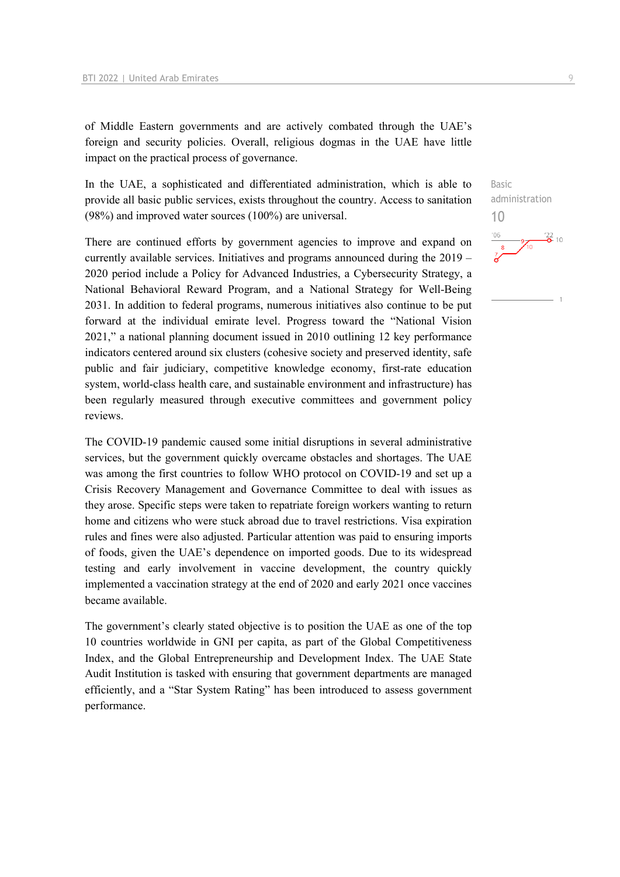of Middle Eastern governments and are actively combated through the UAE's foreign and security policies. Overall, religious dogmas in the UAE have little impact on the practical process of governance.

In the UAE, a sophisticated and differentiated administration, which is able to provide all basic public services, exists throughout the country. Access to sanitation (98%) and improved water sources (100%) are universal.

There are continued efforts by government agencies to improve and expand on currently available services. Initiatives and programs announced during the 2019 – 2020 period include a Policy for Advanced Industries, a Cybersecurity Strategy, a National Behavioral Reward Program, and a National Strategy for Well-Being 2031. In addition to federal programs, numerous initiatives also continue to be put forward at the individual emirate level. Progress toward the "National Vision 2021," a national planning document issued in 2010 outlining 12 key performance indicators centered around six clusters (cohesive society and preserved identity, safe public and fair judiciary, competitive knowledge economy, first-rate education system, world-class health care, and sustainable environment and infrastructure) has been regularly measured through executive committees and government policy reviews.

The COVID-19 pandemic caused some initial disruptions in several administrative services, but the government quickly overcame obstacles and shortages. The UAE was among the first countries to follow WHO protocol on COVID-19 and set up a Crisis Recovery Management and Governance Committee to deal with issues as they arose. Specific steps were taken to repatriate foreign workers wanting to return home and citizens who were stuck abroad due to travel restrictions. Visa expiration rules and fines were also adjusted. Particular attention was paid to ensuring imports of foods, given the UAE's dependence on imported goods. Due to its widespread testing and early involvement in vaccine development, the country quickly implemented a vaccination strategy at the end of 2020 and early 2021 once vaccines became available.

The government's clearly stated objective is to position the UAE as one of the top 10 countries worldwide in GNI per capita, as part of the Global Competitiveness Index, and the Global Entrepreneurship and Development Index. The UAE State Audit Institution is tasked with ensuring that government departments are managed efficiently, and a "Star System Rating" has been introduced to assess government performance.

Basic administration 10

 $\frac{22}{2}$  10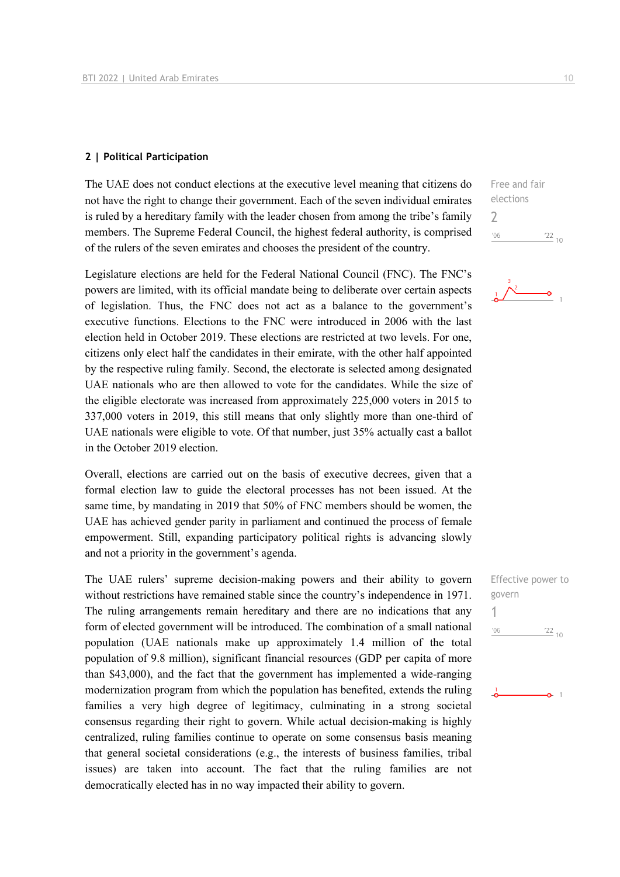#### **2 | Political Participation**

The UAE does not conduct elections at the executive level meaning that citizens do not have the right to change their government. Each of the seven individual emirates is ruled by a hereditary family with the leader chosen from among the tribe's family members. The Supreme Federal Council, the highest federal authority, is comprised of the rulers of the seven emirates and chooses the president of the country.

Legislature elections are held for the Federal National Council (FNC). The FNC's powers are limited, with its official mandate being to deliberate over certain aspects of legislation. Thus, the FNC does not act as a balance to the government's executive functions. Elections to the FNC were introduced in 2006 with the last election held in October 2019. These elections are restricted at two levels. For one, citizens only elect half the candidates in their emirate, with the other half appointed by the respective ruling family. Second, the electorate is selected among designated UAE nationals who are then allowed to vote for the candidates. While the size of the eligible electorate was increased from approximately 225,000 voters in 2015 to 337,000 voters in 2019, this still means that only slightly more than one-third of UAE nationals were eligible to vote. Of that number, just 35% actually cast a ballot in the October 2019 election.

Overall, elections are carried out on the basis of executive decrees, given that a formal election law to guide the electoral processes has not been issued. At the same time, by mandating in 2019 that 50% of FNC members should be women, the UAE has achieved gender parity in parliament and continued the process of female empowerment. Still, expanding participatory political rights is advancing slowly and not a priority in the government's agenda.

The UAE rulers' supreme decision-making powers and their ability to govern without restrictions have remained stable since the country's independence in 1971. The ruling arrangements remain hereditary and there are no indications that any form of elected government will be introduced. The combination of a small national population (UAE nationals make up approximately 1.4 million of the total population of 9.8 million), significant financial resources (GDP per capita of more than \$43,000), and the fact that the government has implemented a wide-ranging modernization program from which the population has benefited, extends the ruling families a very high degree of legitimacy, culminating in a strong societal consensus regarding their right to govern. While actual decision-making is highly centralized, ruling families continue to operate on some consensus basis meaning that general societal considerations (e.g., the interests of business families, tribal issues) are taken into account. The fact that the ruling families are not democratically elected has in no way impacted their ability to govern.

Free and fair elections 2  $'06$  $122_{10}$ 



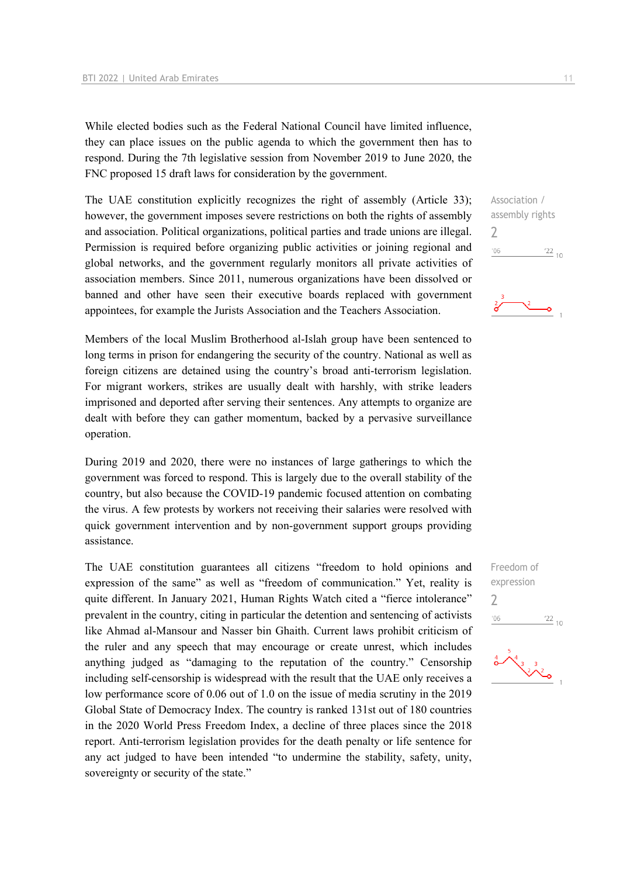While elected bodies such as the Federal National Council have limited influence, they can place issues on the public agenda to which the government then has to respond. During the 7th legislative session from November 2019 to June 2020, the FNC proposed 15 draft laws for consideration by the government.

The UAE constitution explicitly recognizes the right of assembly (Article 33); however, the government imposes severe restrictions on both the rights of assembly and association. Political organizations, political parties and trade unions are illegal. Permission is required before organizing public activities or joining regional and global networks, and the government regularly monitors all private activities of association members. Since 2011, numerous organizations have been dissolved or banned and other have seen their executive boards replaced with government appointees, for example the Jurists Association and the Teachers Association.

Members of the local Muslim Brotherhood al-Islah group have been sentenced to long terms in prison for endangering the security of the country. National as well as foreign citizens are detained using the country's broad anti-terrorism legislation. For migrant workers, strikes are usually dealt with harshly, with strike leaders imprisoned and deported after serving their sentences. Any attempts to organize are dealt with before they can gather momentum, backed by a pervasive surveillance operation.

During 2019 and 2020, there were no instances of large gatherings to which the government was forced to respond. This is largely due to the overall stability of the country, but also because the COVID-19 pandemic focused attention on combating the virus. A few protests by workers not receiving their salaries were resolved with quick government intervention and by non-government support groups providing assistance.

The UAE constitution guarantees all citizens "freedom to hold opinions and expression of the same" as well as "freedom of communication." Yet, reality is quite different. In January 2021, Human Rights Watch cited a "fierce intolerance" prevalent in the country, citing in particular the detention and sentencing of activists like Ahmad al-Mansour and Nasser bin Ghaith. Current laws prohibit criticism of the ruler and any speech that may encourage or create unrest, which includes anything judged as "damaging to the reputation of the country." Censorship including self-censorship is widespread with the result that the UAE only receives a low performance score of 0.06 out of 1.0 on the issue of media scrutiny in the 2019 Global State of Democracy Index. The country is ranked 131st out of 180 countries in the 2020 World Press Freedom Index, a decline of three places since the 2018 report. Anti-terrorism legislation provides for the death penalty or life sentence for any act judged to have been intended "to undermine the stability, safety, unity, sovereignty or security of the state."

Association / assembly rights  $\overline{\phantom{0}}$  $^{\prime}06$  $\frac{22}{10}$ 



Freedom of expression  $\overline{\phantom{a}}$  $06'$  $\frac{22}{10}$ 

 $\frac{1}{2}$   $\frac{1}{2}$   $\frac{3}{2}$   $\frac{3}{2}$   $\frac{3}{2}$   $\frac{3}{2}$   $\frac{3}{2}$   $\frac{3}{2}$   $\frac{3}{2}$   $\frac{3}{2}$   $\frac{3}{2}$   $\frac{3}{2}$   $\frac{3}{2}$   $\frac{3}{2}$   $\frac{3}{2}$   $\frac{3}{2}$   $\frac{3}{2}$   $\frac{3}{2}$   $\frac{3}{2}$   $\frac{3}{2}$   $\frac{3}{2}$   $\frac{3}{2}$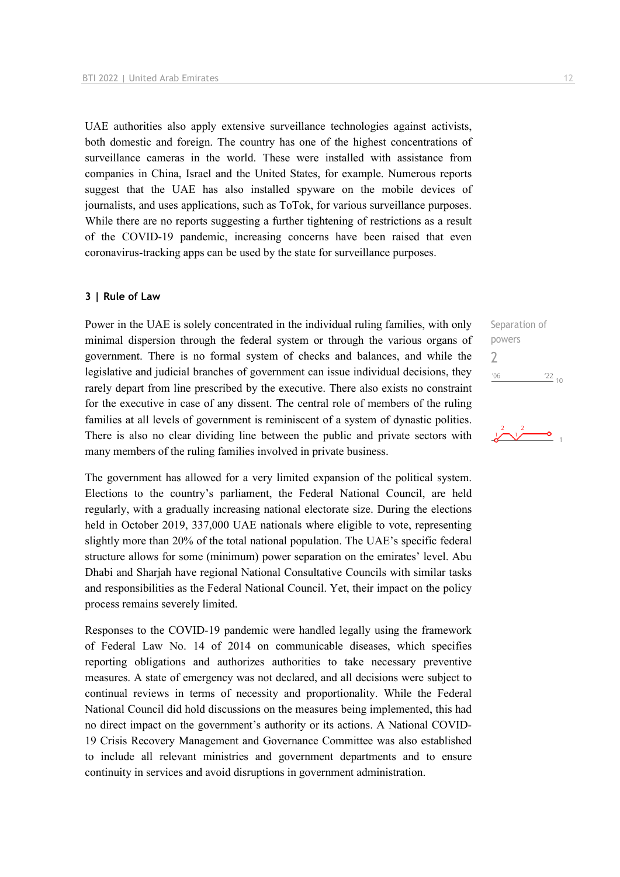UAE authorities also apply extensive surveillance technologies against activists, both domestic and foreign. The country has one of the highest concentrations of surveillance cameras in the world. These were installed with assistance from companies in China, Israel and the United States, for example. Numerous reports suggest that the UAE has also installed spyware on the mobile devices of journalists, and uses applications, such as ToTok, for various surveillance purposes. While there are no reports suggesting a further tightening of restrictions as a result of the COVID-19 pandemic, increasing concerns have been raised that even coronavirus-tracking apps can be used by the state for surveillance purposes.

#### **3 | Rule of Law**

Power in the UAE is solely concentrated in the individual ruling families, with only minimal dispersion through the federal system or through the various organs of government. There is no formal system of checks and balances, and while the legislative and judicial branches of government can issue individual decisions, they rarely depart from line prescribed by the executive. There also exists no constraint for the executive in case of any dissent. The central role of members of the ruling families at all levels of government is reminiscent of a system of dynastic polities. There is also no clear dividing line between the public and private sectors with many members of the ruling families involved in private business.

The government has allowed for a very limited expansion of the political system. Elections to the country's parliament, the Federal National Council, are held regularly, with a gradually increasing national electorate size. During the elections held in October 2019, 337,000 UAE nationals where eligible to vote, representing slightly more than 20% of the total national population. The UAE's specific federal structure allows for some (minimum) power separation on the emirates' level. Abu Dhabi and Sharjah have regional National Consultative Councils with similar tasks and responsibilities as the Federal National Council. Yet, their impact on the policy process remains severely limited.

Responses to the COVID-19 pandemic were handled legally using the framework of Federal Law No. 14 of 2014 on communicable diseases, which specifies reporting obligations and authorizes authorities to take necessary preventive measures. A state of emergency was not declared, and all decisions were subject to continual reviews in terms of necessity and proportionality. While the Federal National Council did hold discussions on the measures being implemented, this had no direct impact on the government's authority or its actions. A National COVID-19 Crisis Recovery Management and Governance Committee was also established to include all relevant ministries and government departments and to ensure continuity in services and avoid disruptions in government administration.

Separation of powers

 $22_{10}$ 

 $\overline{\bullet}$ <sub>1</sub>

2 $'06$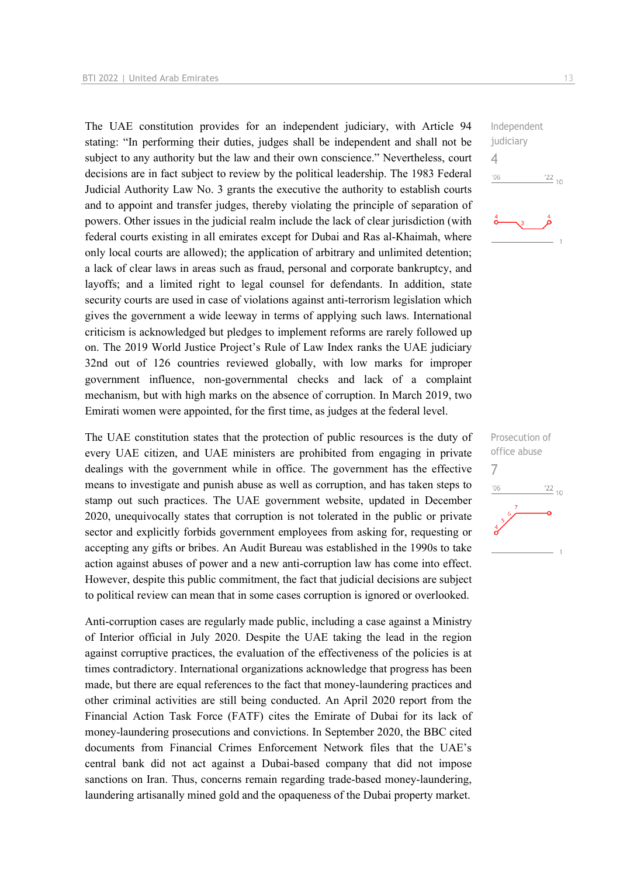The UAE constitution provides for an independent judiciary, with Article 94 stating: "In performing their duties, judges shall be independent and shall not be subject to any authority but the law and their own conscience." Nevertheless, court decisions are in fact subject to review by the political leadership. The 1983 Federal Judicial Authority Law No. 3 grants the executive the authority to establish courts and to appoint and transfer judges, thereby violating the principle of separation of powers. Other issues in the judicial realm include the lack of clear jurisdiction (with federal courts existing in all emirates except for Dubai and Ras al-Khaimah, where only local courts are allowed); the application of arbitrary and unlimited detention; a lack of clear laws in areas such as fraud, personal and corporate bankruptcy, and layoffs; and a limited right to legal counsel for defendants. In addition, state security courts are used in case of violations against anti-terrorism legislation which gives the government a wide leeway in terms of applying such laws. International criticism is acknowledged but pledges to implement reforms are rarely followed up on. The 2019 World Justice Project's Rule of Law Index ranks the UAE judiciary 32nd out of 126 countries reviewed globally, with low marks for improper government influence, non-governmental checks and lack of a complaint mechanism, but with high marks on the absence of corruption. In March 2019, two Emirati women were appointed, for the first time, as judges at the federal level.

The UAE constitution states that the protection of public resources is the duty of every UAE citizen, and UAE ministers are prohibited from engaging in private dealings with the government while in office. The government has the effective means to investigate and punish abuse as well as corruption, and has taken steps to stamp out such practices. The UAE government website, updated in December 2020, unequivocally states that corruption is not tolerated in the public or private sector and explicitly forbids government employees from asking for, requesting or accepting any gifts or bribes. An Audit Bureau was established in the 1990s to take action against abuses of power and a new anti-corruption law has come into effect. However, despite this public commitment, the fact that judicial decisions are subject to political review can mean that in some cases corruption is ignored or overlooked.

Anti-corruption cases are regularly made public, including a case against a Ministry of Interior official in July 2020. Despite the UAE taking the lead in the region against corruptive practices, the evaluation of the effectiveness of the policies is at times contradictory. International organizations acknowledge that progress has been made, but there are equal references to the fact that money-laundering practices and other criminal activities are still being conducted. An April 2020 report from the Financial Action Task Force (FATF) cites the Emirate of Dubai for its lack of money-laundering prosecutions and convictions. In September 2020, the BBC cited documents from Financial Crimes Enforcement Network files that the UAE's central bank did not act against a Dubai-based company that did not impose sanctions on Iran. Thus, concerns remain regarding trade-based money-laundering, laundering artisanally mined gold and the opaqueness of the Dubai property market.

Independent judiciary 4  $06'$  $\frac{22}{10}$ 

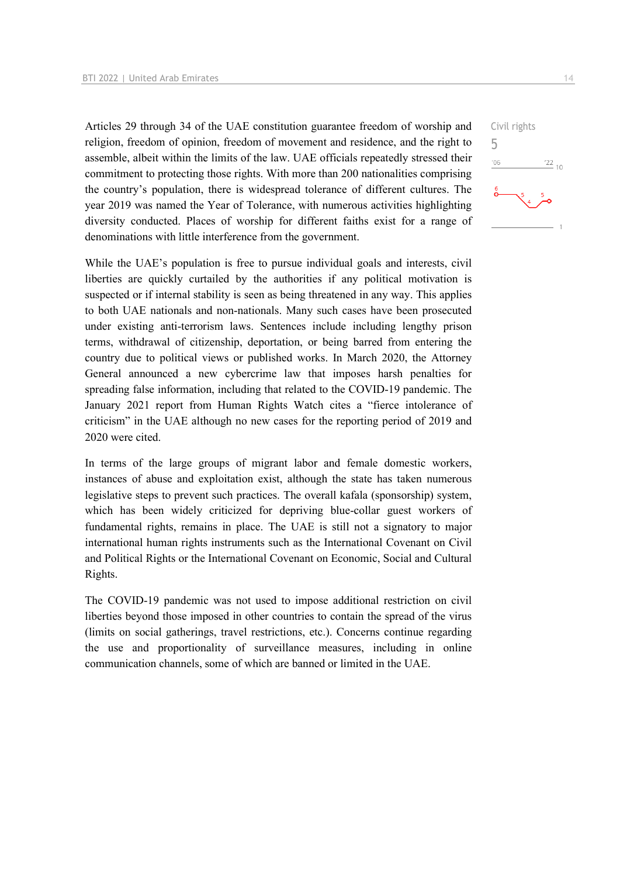Articles 29 through 34 of the UAE constitution guarantee freedom of worship and religion, freedom of opinion, freedom of movement and residence, and the right to assemble, albeit within the limits of the law. UAE officials repeatedly stressed their commitment to protecting those rights. With more than 200 nationalities comprising the country's population, there is widespread tolerance of different cultures. The year 2019 was named the Year of Tolerance, with numerous activities highlighting diversity conducted. Places of worship for different faiths exist for a range of denominations with little interference from the government.

While the UAE's population is free to pursue individual goals and interests, civil liberties are quickly curtailed by the authorities if any political motivation is suspected or if internal stability is seen as being threatened in any way. This applies to both UAE nationals and non-nationals. Many such cases have been prosecuted under existing anti-terrorism laws. Sentences include including lengthy prison terms, withdrawal of citizenship, deportation, or being barred from entering the country due to political views or published works. In March 2020, the Attorney General announced a new cybercrime law that imposes harsh penalties for spreading false information, including that related to the COVID-19 pandemic. The January 2021 report from Human Rights Watch cites a "fierce intolerance of criticism" in the UAE although no new cases for the reporting period of 2019 and 2020 were cited.

In terms of the large groups of migrant labor and female domestic workers, instances of abuse and exploitation exist, although the state has taken numerous legislative steps to prevent such practices. The overall kafala (sponsorship) system, which has been widely criticized for depriving blue-collar guest workers of fundamental rights, remains in place. The UAE is still not a signatory to major international human rights instruments such as the International Covenant on Civil and Political Rights or the International Covenant on Economic, Social and Cultural Rights.

The COVID-19 pandemic was not used to impose additional restriction on civil liberties beyond those imposed in other countries to contain the spread of the virus (limits on social gatherings, travel restrictions, etc.). Concerns continue regarding the use and proportionality of surveillance measures, including in online communication channels, some of which are banned or limited in the UAE.

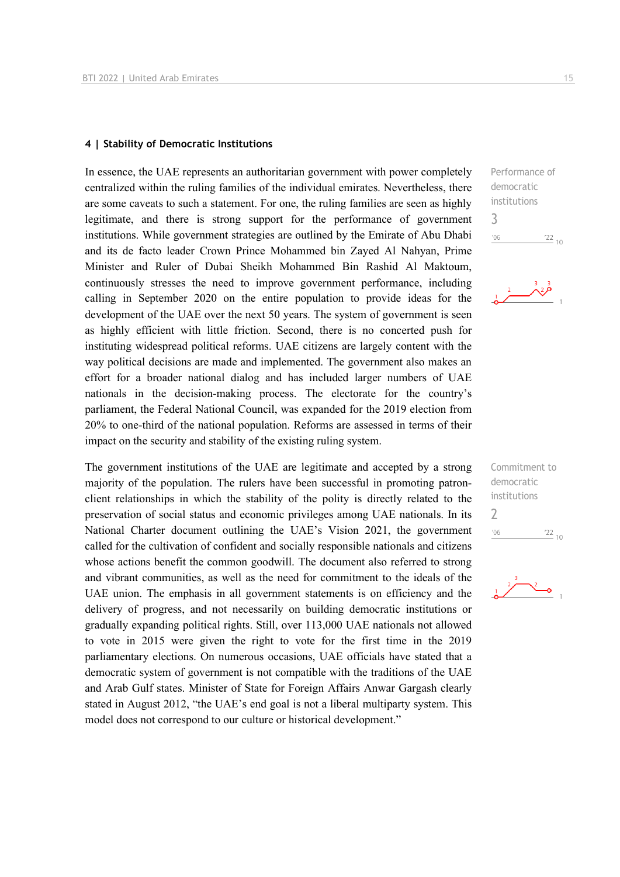#### **4 | Stability of Democratic Institutions**

In essence, the UAE represents an authoritarian government with power completely centralized within the ruling families of the individual emirates. Nevertheless, there are some caveats to such a statement. For one, the ruling families are seen as highly legitimate, and there is strong support for the performance of government institutions. While government strategies are outlined by the Emirate of Abu Dhabi and its de facto leader Crown Prince Mohammed bin Zayed Al Nahyan, Prime Minister and Ruler of Dubai Sheikh Mohammed Bin Rashid Al Maktoum, continuously stresses the need to improve government performance, including calling in September 2020 on the entire population to provide ideas for the development of the UAE over the next 50 years. The system of government is seen as highly efficient with little friction. Second, there is no concerted push for instituting widespread political reforms. UAE citizens are largely content with the way political decisions are made and implemented. The government also makes an effort for a broader national dialog and has included larger numbers of UAE nationals in the decision-making process. The electorate for the country's parliament, the Federal National Council, was expanded for the 2019 election from 20% to one-third of the national population. Reforms are assessed in terms of their impact on the security and stability of the existing ruling system.

The government institutions of the UAE are legitimate and accepted by a strong majority of the population. The rulers have been successful in promoting patronclient relationships in which the stability of the polity is directly related to the preservation of social status and economic privileges among UAE nationals. In its National Charter document outlining the UAE's Vision 2021, the government called for the cultivation of confident and socially responsible nationals and citizens whose actions benefit the common goodwill. The document also referred to strong and vibrant communities, as well as the need for commitment to the ideals of the UAE union. The emphasis in all government statements is on efficiency and the delivery of progress, and not necessarily on building democratic institutions or gradually expanding political rights. Still, over 113,000 UAE nationals not allowed to vote in 2015 were given the right to vote for the first time in the 2019 parliamentary elections. On numerous occasions, UAE officials have stated that a democratic system of government is not compatible with the traditions of the UAE and Arab Gulf states. Minister of State for Foreign Affairs Anwar Gargash clearly stated in August 2012, "the UAE's end goal is not a liberal multiparty system. This model does not correspond to our culture or historical development."

Performance of democratic institutions 3  $\frac{22}{10}$  $106$ 



Commitment to democratic institutions 2 $-06$  $\frac{22}{10}$ 

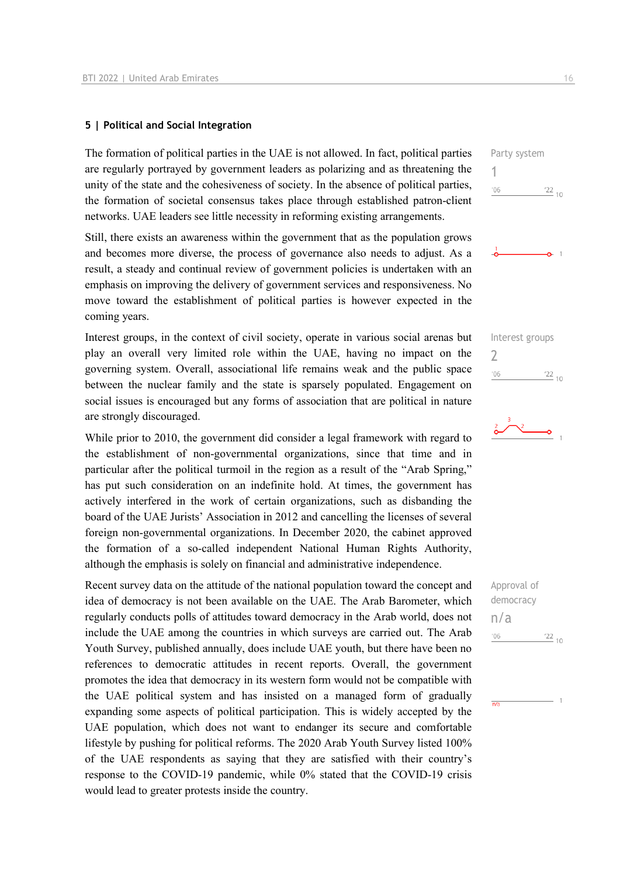#### **5 | Political and Social Integration**

The formation of political parties in the UAE is not allowed. In fact, political parties are regularly portrayed by government leaders as polarizing and as threatening the unity of the state and the cohesiveness of society. In the absence of political parties, the formation of societal consensus takes place through established patron-client networks. UAE leaders see little necessity in reforming existing arrangements.

Still, there exists an awareness within the government that as the population grows and becomes more diverse, the process of governance also needs to adjust. As a result, a steady and continual review of government policies is undertaken with an emphasis on improving the delivery of government services and responsiveness. No move toward the establishment of political parties is however expected in the coming years.

Interest groups, in the context of civil society, operate in various social arenas but play an overall very limited role within the UAE, having no impact on the governing system. Overall, associational life remains weak and the public space between the nuclear family and the state is sparsely populated. Engagement on social issues is encouraged but any forms of association that are political in nature are strongly discouraged.

While prior to 2010, the government did consider a legal framework with regard to the establishment of non-governmental organizations, since that time and in particular after the political turmoil in the region as a result of the "Arab Spring," has put such consideration on an indefinite hold. At times, the government has actively interfered in the work of certain organizations, such as disbanding the board of the UAE Jurists' Association in 2012 and cancelling the licenses of several foreign non-governmental organizations. In December 2020, the cabinet approved the formation of a so-called independent National Human Rights Authority, although the emphasis is solely on financial and administrative independence.

Recent survey data on the attitude of the national population toward the concept and idea of democracy is not been available on the UAE. The Arab Barometer, which regularly conducts polls of attitudes toward democracy in the Arab world, does not include the UAE among the countries in which surveys are carried out. The Arab Youth Survey, published annually, does include UAE youth, but there have been no references to democratic attitudes in recent reports. Overall, the government promotes the idea that democracy in its western form would not be compatible with the UAE political system and has insisted on a managed form of gradually expanding some aspects of political participation. This is widely accepted by the UAE population, which does not want to endanger its secure and comfortable lifestyle by pushing for political reforms. The 2020 Arab Youth Survey listed 100% of the UAE respondents as saying that they are satisfied with their country's response to the COVID-19 pandemic, while 0% stated that the COVID-19 crisis would lead to greater protests inside the country.

Party system 1  $\frac{22}{10}$  $106$ 







Approval of democracy n/a $-06$  $\frac{22}{10}$ 

 $\overline{m}$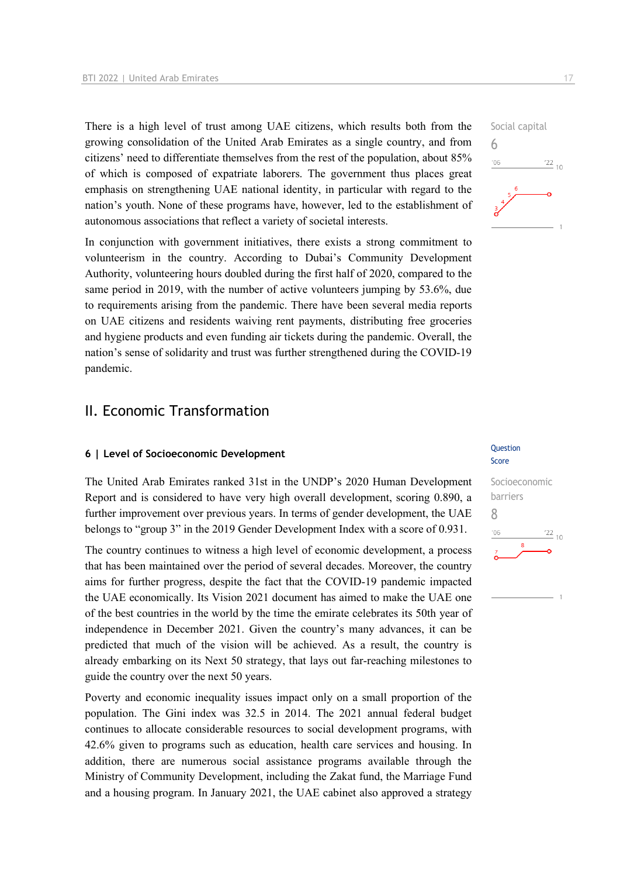There is a high level of trust among UAE citizens, which results both from the growing consolidation of the United Arab Emirates as a single country, and from citizens' need to differentiate themselves from the rest of the population, about 85% of which is composed of expatriate laborers. The government thus places great emphasis on strengthening UAE national identity, in particular with regard to the nation's youth. None of these programs have, however, led to the establishment of autonomous associations that reflect a variety of societal interests.

In conjunction with government initiatives, there exists a strong commitment to volunteerism in the country. According to Dubai's Community Development Authority, volunteering hours doubled during the first half of 2020, compared to the same period in 2019, with the number of active volunteers jumping by 53.6%, due to requirements arising from the pandemic. There have been several media reports on UAE citizens and residents waiving rent payments, distributing free groceries and hygiene products and even funding air tickets during the pandemic. Overall, the nation's sense of solidarity and trust was further strengthened during the COVID-19 pandemic.

## II. Economic Transformation

## **6 | Level of Socioeconomic Development CONSTRESS CONSTRESS CONSTRESS CONSTRESS CONSTRESS CONSTRESS CONSTRESS CONSTRESS CONSTRESS CONSTRESS CONSTRESS CONSTRESS CONSTRESS CONSTRESS CONSTRESS CONSTRESS CONSTRESS CONSTRESS**

The United Arab Emirates ranked 31st in the UNDP's 2020 Human Development Report and is considered to have very high overall development, scoring 0.890, a further improvement over previous years. In terms of gender development, the UAE belongs to "group 3" in the 2019 Gender Development Index with a score of 0.931.

The country continues to witness a high level of economic development, a process that has been maintained over the period of several decades. Moreover, the country aims for further progress, despite the fact that the COVID-19 pandemic impacted the UAE economically. Its Vision 2021 document has aimed to make the UAE one of the best countries in the world by the time the emirate celebrates its 50th year of independence in December 2021. Given the country's many advances, it can be predicted that much of the vision will be achieved. As a result, the country is already embarking on its Next 50 strategy, that lays out far-reaching milestones to guide the country over the next 50 years.

Poverty and economic inequality issues impact only on a small proportion of the population. The Gini index was 32.5 in 2014. The 2021 annual federal budget continues to allocate considerable resources to social development programs, with 42.6% given to programs such as education, health care services and housing. In addition, there are numerous social assistance programs available through the Ministry of Community Development, including the Zakat fund, the Marriage Fund and a housing program. In January 2021, the UAE cabinet also approved a strategy





6

 $106$ 



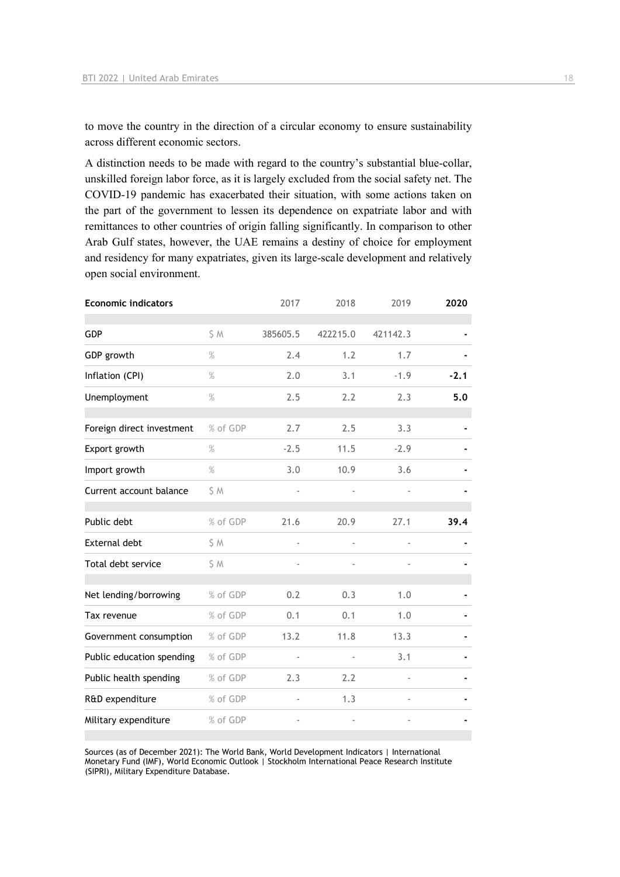to move the country in the direction of a circular economy to ensure sustainability across different economic sectors.

A distinction needs to be made with regard to the country's substantial blue-collar, unskilled foreign labor force, as it is largely excluded from the social safety net. The COVID-19 pandemic has exacerbated their situation, with some actions taken on the part of the government to lessen its dependence on expatriate labor and with remittances to other countries of origin falling significantly. In comparison to other Arab Gulf states, however, the UAE remains a destiny of choice for employment and residency for many expatriates, given its large-scale development and relatively open social environment.

| <b>Economic indicators</b> |          | 2017           | 2018                     | 2019     | 2020   |
|----------------------------|----------|----------------|--------------------------|----------|--------|
| <b>GDP</b>                 | S M      | 385605.5       | 422215.0                 | 421142.3 |        |
| GDP growth                 | $\%$     | 2.4            | 1.2                      | 1.7      |        |
| Inflation (CPI)            | $\%$     | 2.0            | 3.1                      | $-1.9$   | $-2.1$ |
| Unemployment               | $\%$     | 2.5            | 2.2                      | 2.3      | 5.0    |
| Foreign direct investment  | % of GDP | 2.7            | 2.5                      | 3.3      |        |
| Export growth              | $\%$     | $-2.5$         | 11.5                     | $-2.9$   |        |
| Import growth              | $\%$     | 3.0            | 10.9                     | 3.6      |        |
| Current account balance    | \$ M     |                |                          |          |        |
| Public debt                | % of GDP | 21.6           | 20.9                     | 27.1     | 39.4   |
| External debt              | \$ M     | $\blacksquare$ | $\overline{\phantom{a}}$ |          |        |
| Total debt service         | \$ M     |                |                          |          |        |
| Net lending/borrowing      | % of GDP | 0.2            | 0.3                      | 1.0      |        |
| Tax revenue                | % of GDP | 0.1            | 0.1                      | 1.0      |        |
| Government consumption     | % of GDP | 13.2           | 11.8                     | 13.3     |        |
| Public education spending  | % of GDP | $\blacksquare$ | ä,                       | 3.1      |        |
| Public health spending     | % of GDP | 2.3            | 2.2                      |          |        |
| R&D expenditure            | % of GDP |                | 1.3                      |          |        |
| Military expenditure       | % of GDP |                |                          |          |        |

Sources (as of December 2021): The World Bank, World Development Indicators | International Monetary Fund (IMF), World Economic Outlook | Stockholm International Peace Research Institute (SIPRI), Military Expenditure Database.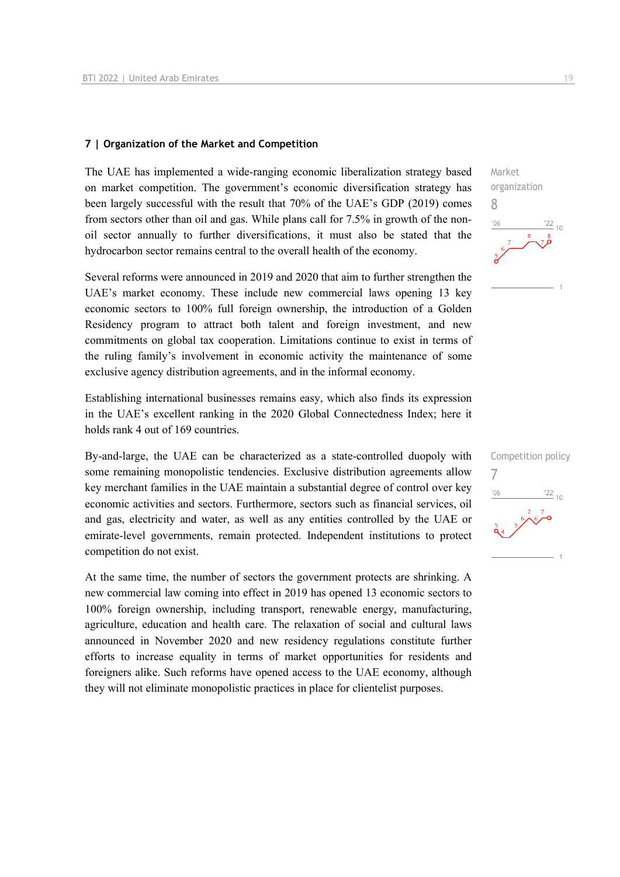#### **7 | Organization of the Market and Competition**

The UAE has implemented a wide-ranging economic liberalization strategy based on market competition. The government's economic diversification strategy has been largely successful with the result that 70% of the UAE's GDP (2019) comes from sectors other than oil and gas. While plans call for 7.5% in growth of the nonoil sector annually to further diversifications, it must also be stated that the hydrocarbon sector remains central to the overall health of the economy.

Several reforms were announced in 2019 and 2020 that aim to further strengthen the UAE's market economy. These include new commercial laws opening 13 key economic sectors to 100% full foreign ownership, the introduction of a Golden Residency program to attract both talent and foreign investment, and new commitments on global tax cooperation. Limitations continue to exist in terms of the ruling family's involvement in economic activity the maintenance of some exclusive agency distribution agreements, and in the informal economy.

Establishing international businesses remains easy, which also finds its expression in the UAE's excellent ranking in the 2020 Global Connectedness Index; here it holds rank 4 out of 169 countries.

By-and-large, the UAE can be characterized as a state-controlled duopoly with some remaining monopolistic tendencies. Exclusive distribution agreements allow key merchant families in the UAE maintain a substantial degree of control over key economic activities and sectors. Furthermore, sectors such as financial services, oil and gas, electricity and water, as well as any entities controlled by the UAE or emirate-level governments, remain protected. Independent institutions to protect competition do not exist.

At the same time, the number of sectors the government protects are shrinking. A new commercial law coming into effect in 2019 has opened 13 economic sectors to 100% foreign ownership, including transport, renewable energy, manufacturing, agriculture, education and health care. The relaxation of social and cultural laws announced in November 2020 and new residency regulations constitute further efforts to increase equality in terms of market opportunities for residents and foreigners alike. Such reforms have opened access to the UAE economy, although they will not eliminate monopolistic practices in place for clientelist purposes.



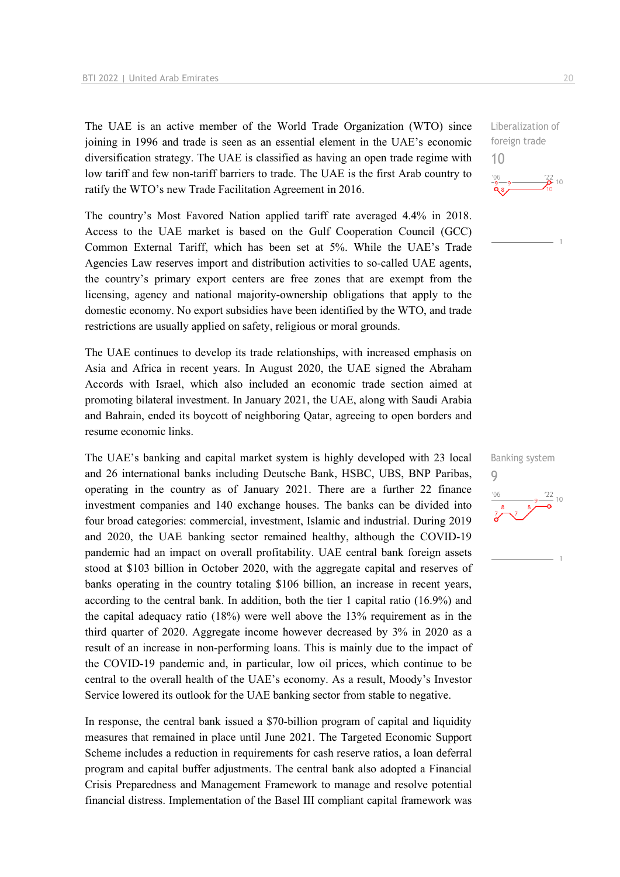The UAE is an active member of the World Trade Organization (WTO) since joining in 1996 and trade is seen as an essential element in the UAE's economic diversification strategy. The UAE is classified as having an open trade regime with low tariff and few non-tariff barriers to trade. The UAE is the first Arab country to ratify the WTO's new Trade Facilitation Agreement in 2016.

The country's Most Favored Nation applied tariff rate averaged 4.4% in 2018. Access to the UAE market is based on the Gulf Cooperation Council (GCC) Common External Tariff, which has been set at 5%. While the UAE's Trade Agencies Law reserves import and distribution activities to so-called UAE agents, the country's primary export centers are free zones that are exempt from the licensing, agency and national majority-ownership obligations that apply to the domestic economy. No export subsidies have been identified by the WTO, and trade restrictions are usually applied on safety, religious or moral grounds.

The UAE continues to develop its trade relationships, with increased emphasis on Asia and Africa in recent years. In August 2020, the UAE signed the Abraham Accords with Israel, which also included an economic trade section aimed at promoting bilateral investment. In January 2021, the UAE, along with Saudi Arabia and Bahrain, ended its boycott of neighboring Qatar, agreeing to open borders and resume economic links.

The UAE's banking and capital market system is highly developed with 23 local and 26 international banks including Deutsche Bank, HSBC, UBS, BNP Paribas, operating in the country as of January 2021. There are a further 22 finance investment companies and 140 exchange houses. The banks can be divided into four broad categories: commercial, investment, Islamic and industrial. During 2019 and 2020, the UAE banking sector remained healthy, although the COVID-19 pandemic had an impact on overall profitability. UAE central bank foreign assets stood at \$103 billion in October 2020, with the aggregate capital and reserves of banks operating in the country totaling \$106 billion, an increase in recent years, according to the central bank. In addition, both the tier 1 capital ratio (16.9%) and the capital adequacy ratio (18%) were well above the 13% requirement as in the third quarter of 2020. Aggregate income however decreased by 3% in 2020 as a result of an increase in non-performing loans. This is mainly due to the impact of the COVID-19 pandemic and, in particular, low oil prices, which continue to be central to the overall health of the UAE's economy. As a result, Moody's Investor Service lowered its outlook for the UAE banking sector from stable to negative.

In response, the central bank issued a \$70-billion program of capital and liquidity measures that remained in place until June 2021. The Targeted Economic Support Scheme includes a reduction in requirements for cash reserve ratios, a loan deferral program and capital buffer adjustments. The central bank also adopted a Financial Crisis Preparedness and Management Framework to manage and resolve potential financial distress. Implementation of the Basel III compliant capital framework was Liberalization of foreign trade 10



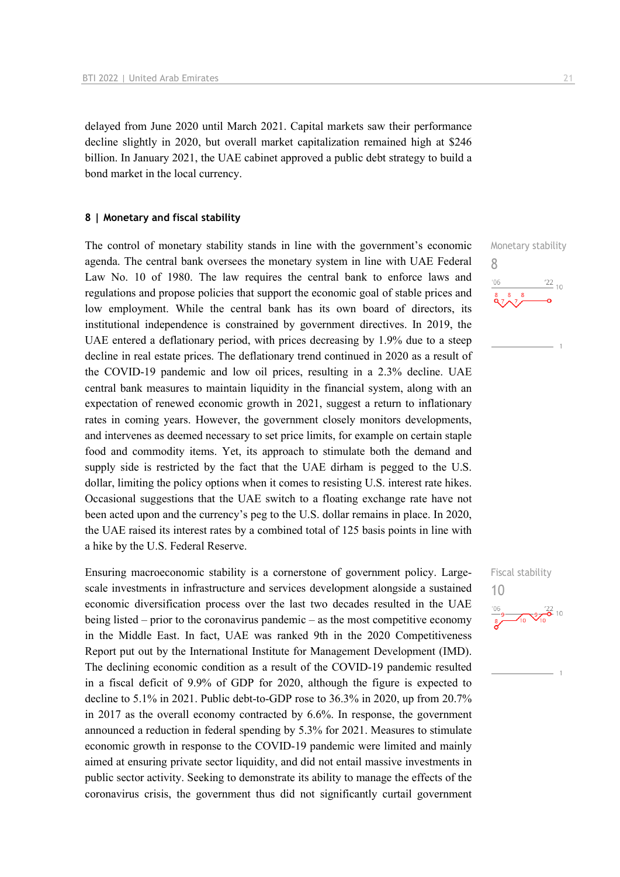delayed from June 2020 until March 2021. Capital markets saw their performance decline slightly in 2020, but overall market capitalization remained high at \$246 billion. In January 2021, the UAE cabinet approved a public debt strategy to build a bond market in the local currency.

#### **8 | Monetary and fiscal stability**

The control of monetary stability stands in line with the government's economic agenda. The central bank oversees the monetary system in line with UAE Federal Law No. 10 of 1980. The law requires the central bank to enforce laws and regulations and propose policies that support the economic goal of stable prices and low employment. While the central bank has its own board of directors, its institutional independence is constrained by government directives. In 2019, the UAE entered a deflationary period, with prices decreasing by 1.9% due to a steep decline in real estate prices. The deflationary trend continued in 2020 as a result of the COVID-19 pandemic and low oil prices, resulting in a 2.3% decline. UAE central bank measures to maintain liquidity in the financial system, along with an expectation of renewed economic growth in 2021, suggest a return to inflationary rates in coming years. However, the government closely monitors developments, and intervenes as deemed necessary to set price limits, for example on certain staple food and commodity items. Yet, its approach to stimulate both the demand and supply side is restricted by the fact that the UAE dirham is pegged to the U.S. dollar, limiting the policy options when it comes to resisting U.S. interest rate hikes. Occasional suggestions that the UAE switch to a floating exchange rate have not been acted upon and the currency's peg to the U.S. dollar remains in place. In 2020, the UAE raised its interest rates by a combined total of 125 basis points in line with a hike by the U.S. Federal Reserve.

Ensuring macroeconomic stability is a cornerstone of government policy. Largescale investments in infrastructure and services development alongside a sustained economic diversification process over the last two decades resulted in the UAE being listed – prior to the coronavirus pandemic – as the most competitive economy in the Middle East. In fact, UAE was ranked 9th in the 2020 Competitiveness Report put out by the International Institute for Management Development (IMD). The declining economic condition as a result of the COVID-19 pandemic resulted in a fiscal deficit of 9.9% of GDP for 2020, although the figure is expected to decline to 5.1% in 2021. Public debt-to-GDP rose to 36.3% in 2020, up from 20.7% in 2017 as the overall economy contracted by 6.6%. In response, the government announced a reduction in federal spending by 5.3% for 2021. Measures to stimulate economic growth in response to the COVID-19 pandemic were limited and mainly aimed at ensuring private sector liquidity, and did not entail massive investments in public sector activity. Seeking to demonstrate its ability to manage the effects of the coronavirus crisis, the government thus did not significantly curtail government



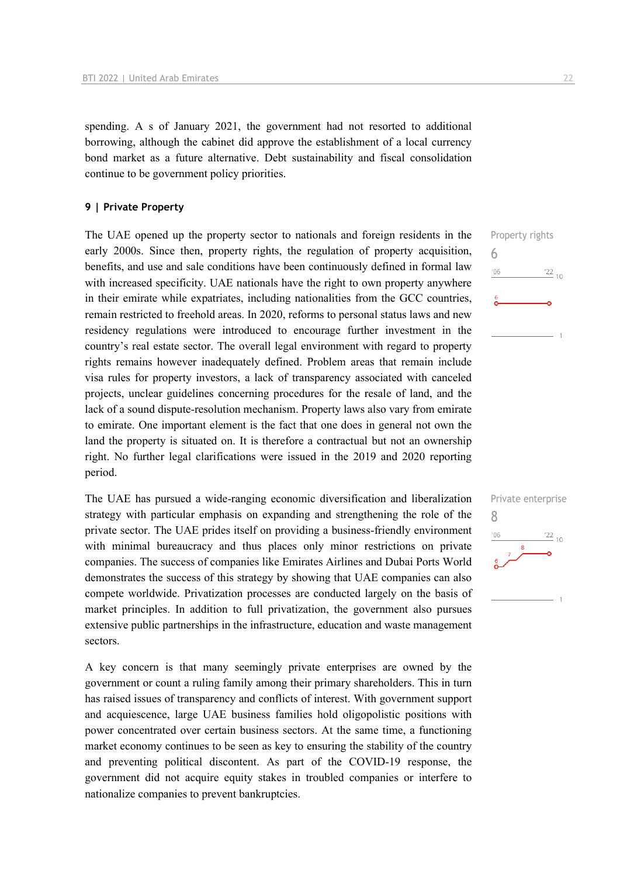spending. A s of January 2021, the government had not resorted to additional borrowing, although the cabinet did approve the establishment of a local currency bond market as a future alternative. Debt sustainability and fiscal consolidation continue to be government policy priorities.

#### **9 | Private Property**

The UAE opened up the property sector to nationals and foreign residents in the early 2000s. Since then, property rights, the regulation of property acquisition, benefits, and use and sale conditions have been continuously defined in formal law with increased specificity. UAE nationals have the right to own property anywhere in their emirate while expatriates, including nationalities from the GCC countries, remain restricted to freehold areas. In 2020, reforms to personal status laws and new residency regulations were introduced to encourage further investment in the country's real estate sector. The overall legal environment with regard to property rights remains however inadequately defined. Problem areas that remain include visa rules for property investors, a lack of transparency associated with canceled projects, unclear guidelines concerning procedures for the resale of land, and the lack of a sound dispute-resolution mechanism. Property laws also vary from emirate to emirate. One important element is the fact that one does in general not own the land the property is situated on. It is therefore a contractual but not an ownership right. No further legal clarifications were issued in the 2019 and 2020 reporting period.

The UAE has pursued a wide-ranging economic diversification and liberalization strategy with particular emphasis on expanding and strengthening the role of the private sector. The UAE prides itself on providing a business-friendly environment with minimal bureaucracy and thus places only minor restrictions on private companies. The success of companies like Emirates Airlines and Dubai Ports World demonstrates the success of this strategy by showing that UAE companies can also compete worldwide. Privatization processes are conducted largely on the basis of market principles. In addition to full privatization, the government also pursues extensive public partnerships in the infrastructure, education and waste management sectors.

A key concern is that many seemingly private enterprises are owned by the government or count a ruling family among their primary shareholders. This in turn has raised issues of transparency and conflicts of interest. With government support and acquiescence, large UAE business families hold oligopolistic positions with power concentrated over certain business sectors. At the same time, a functioning market economy continues to be seen as key to ensuring the stability of the country and preventing political discontent. As part of the COVID-19 response, the government did not acquire equity stakes in troubled companies or interfere to nationalize companies to prevent bankruptcies.



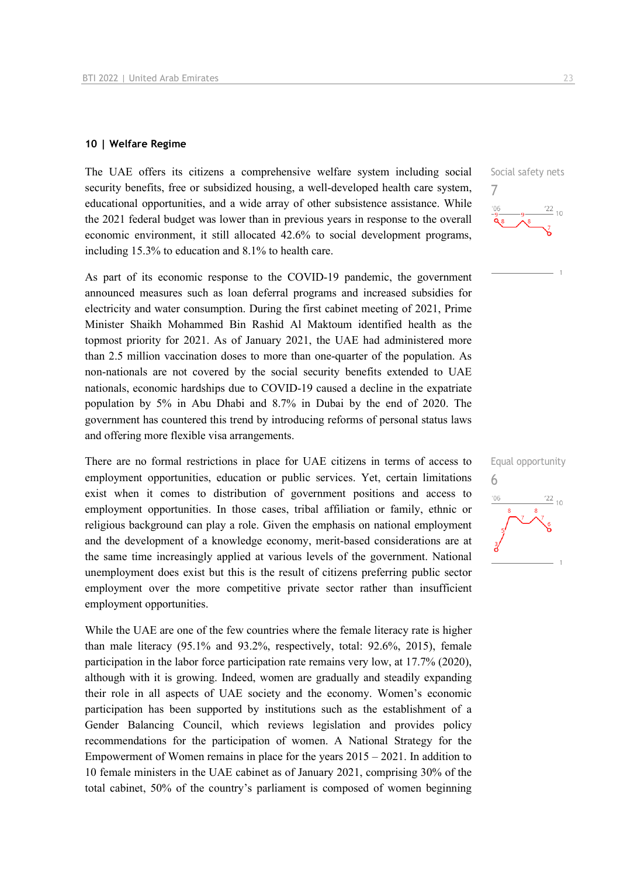#### **10 | Welfare Regime**

The UAE offers its citizens a comprehensive welfare system including social security benefits, free or subsidized housing, a well-developed health care system, educational opportunities, and a wide array of other subsistence assistance. While the 2021 federal budget was lower than in previous years in response to the overall economic environment, it still allocated 42.6% to social development programs, including 15.3% to education and 8.1% to health care.

As part of its economic response to the COVID-19 pandemic, the government announced measures such as loan deferral programs and increased subsidies for electricity and water consumption. During the first cabinet meeting of 2021, Prime Minister Shaikh Mohammed Bin Rashid Al Maktoum identified health as the topmost priority for 2021. As of January 2021, the UAE had administered more than 2.5 million vaccination doses to more than one-quarter of the population. As non-nationals are not covered by the social security benefits extended to UAE nationals, economic hardships due to COVID-19 caused a decline in the expatriate population by 5% in Abu Dhabi and 8.7% in Dubai by the end of 2020. The government has countered this trend by introducing reforms of personal status laws and offering more flexible visa arrangements.

There are no formal restrictions in place for UAE citizens in terms of access to employment opportunities, education or public services. Yet, certain limitations exist when it comes to distribution of government positions and access to employment opportunities. In those cases, tribal affiliation or family, ethnic or religious background can play a role. Given the emphasis on national employment and the development of a knowledge economy, merit-based considerations are at the same time increasingly applied at various levels of the government. National unemployment does exist but this is the result of citizens preferring public sector employment over the more competitive private sector rather than insufficient employment opportunities.

While the UAE are one of the few countries where the female literacy rate is higher than male literacy (95.1% and 93.2%, respectively, total: 92.6%, 2015), female participation in the labor force participation rate remains very low, at 17.7% (2020), although with it is growing. Indeed, women are gradually and steadily expanding their role in all aspects of UAE society and the economy. Women's economic participation has been supported by institutions such as the establishment of a Gender Balancing Council, which reviews legislation and provides policy recommendations for the participation of women. A National Strategy for the Empowerment of Women remains in place for the years 2015 – 2021. In addition to 10 female ministers in the UAE cabinet as of January 2021, comprising 30% of the total cabinet, 50% of the country's parliament is composed of women beginning

Social safety nets 7  $\frac{22}{10}$ 

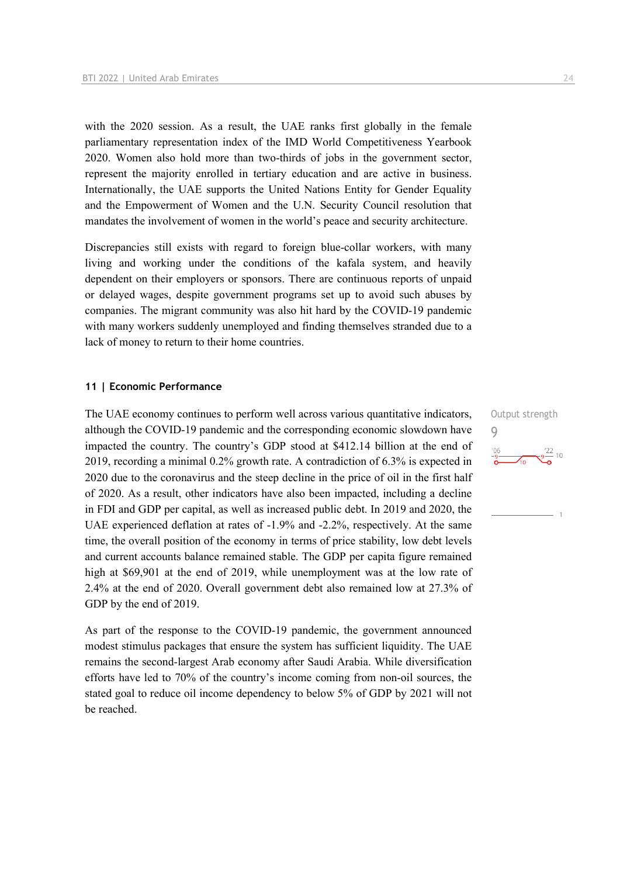with the 2020 session. As a result, the UAE ranks first globally in the female parliamentary representation index of the IMD World Competitiveness Yearbook 2020. Women also hold more than two-thirds of jobs in the government sector, represent the majority enrolled in tertiary education and are active in business. Internationally, the UAE supports the United Nations Entity for Gender Equality and the Empowerment of Women and the U.N. Security Council resolution that mandates the involvement of women in the world's peace and security architecture.

Discrepancies still exists with regard to foreign blue-collar workers, with many living and working under the conditions of the kafala system, and heavily dependent on their employers or sponsors. There are continuous reports of unpaid or delayed wages, despite government programs set up to avoid such abuses by companies. The migrant community was also hit hard by the COVID-19 pandemic with many workers suddenly unemployed and finding themselves stranded due to a lack of money to return to their home countries.

#### **11 | Economic Performance**

The UAE economy continues to perform well across various quantitative indicators, although the COVID-19 pandemic and the corresponding economic slowdown have impacted the country. The country's GDP stood at \$412.14 billion at the end of 2019, recording a minimal 0.2% growth rate. A contradiction of 6.3% is expected in 2020 due to the coronavirus and the steep decline in the price of oil in the first half of 2020. As a result, other indicators have also been impacted, including a decline in FDI and GDP per capital, as well as increased public debt. In 2019 and 2020, the UAE experienced deflation at rates of -1.9% and -2.2%, respectively. At the same time, the overall position of the economy in terms of price stability, low debt levels and current accounts balance remained stable. The GDP per capita figure remained high at \$69,901 at the end of 2019, while unemployment was at the low rate of 2.4% at the end of 2020. Overall government debt also remained low at 27.3% of GDP by the end of 2019.

As part of the response to the COVID-19 pandemic, the government announced modest stimulus packages that ensure the system has sufficient liquidity. The UAE remains the second-largest Arab economy after Saudi Arabia. While diversification efforts have led to 70% of the country's income coming from non-oil sources, the stated goal to reduce oil income dependency to below 5% of GDP by 2021 will not be reached.

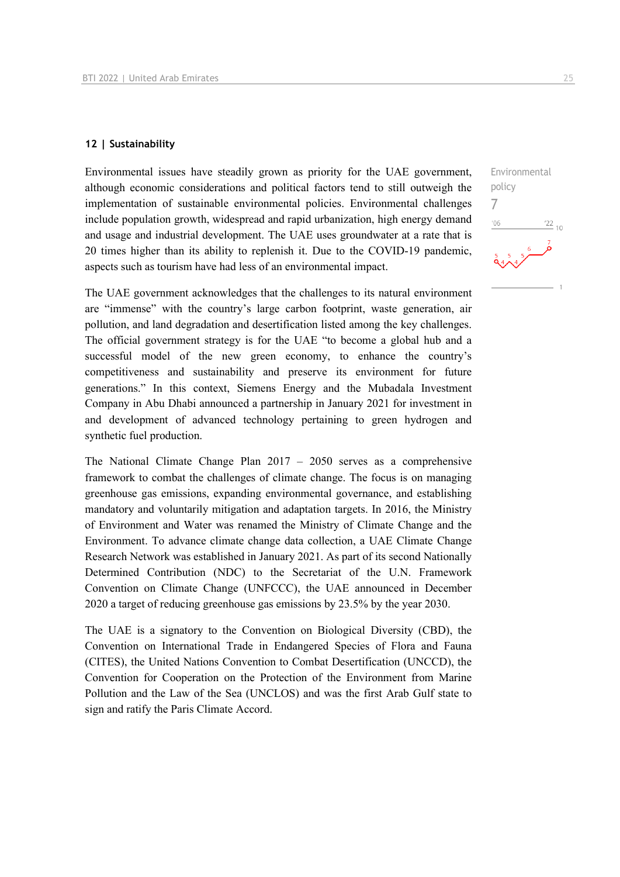#### **12 | Sustainability**

Environmental issues have steadily grown as priority for the UAE government, although economic considerations and political factors tend to still outweigh the implementation of sustainable environmental policies. Environmental challenges include population growth, widespread and rapid urbanization, high energy demand and usage and industrial development. The UAE uses groundwater at a rate that is 20 times higher than its ability to replenish it. Due to the COVID-19 pandemic, aspects such as tourism have had less of an environmental impact.

The UAE government acknowledges that the challenges to its natural environment are "immense" with the country's large carbon footprint, waste generation, air pollution, and land degradation and desertification listed among the key challenges. The official government strategy is for the UAE "to become a global hub and a successful model of the new green economy, to enhance the country's competitiveness and sustainability and preserve its environment for future generations." In this context, Siemens Energy and the Mubadala Investment Company in Abu Dhabi announced a partnership in January 2021 for investment in and development of advanced technology pertaining to green hydrogen and synthetic fuel production.

The National Climate Change Plan 2017 – 2050 serves as a comprehensive framework to combat the challenges of climate change. The focus is on managing greenhouse gas emissions, expanding environmental governance, and establishing mandatory and voluntarily mitigation and adaptation targets. In 2016, the Ministry of Environment and Water was renamed the Ministry of Climate Change and the Environment. To advance climate change data collection, a UAE Climate Change Research Network was established in January 2021. As part of its second Nationally Determined Contribution (NDC) to the Secretariat of the U.N. Framework Convention on Climate Change (UNFCCC), the UAE announced in December 2020 a target of reducing greenhouse gas emissions by 23.5% by the year 2030.

The UAE is a signatory to the Convention on Biological Diversity (CBD), the Convention on International Trade in Endangered Species of Flora and Fauna (CITES), the United Nations Convention to Combat Desertification (UNCCD), the Convention for Cooperation on the Protection of the Environment from Marine Pollution and the Law of the Sea (UNCLOS) and was the first Arab Gulf state to sign and ratify the Paris Climate Accord.

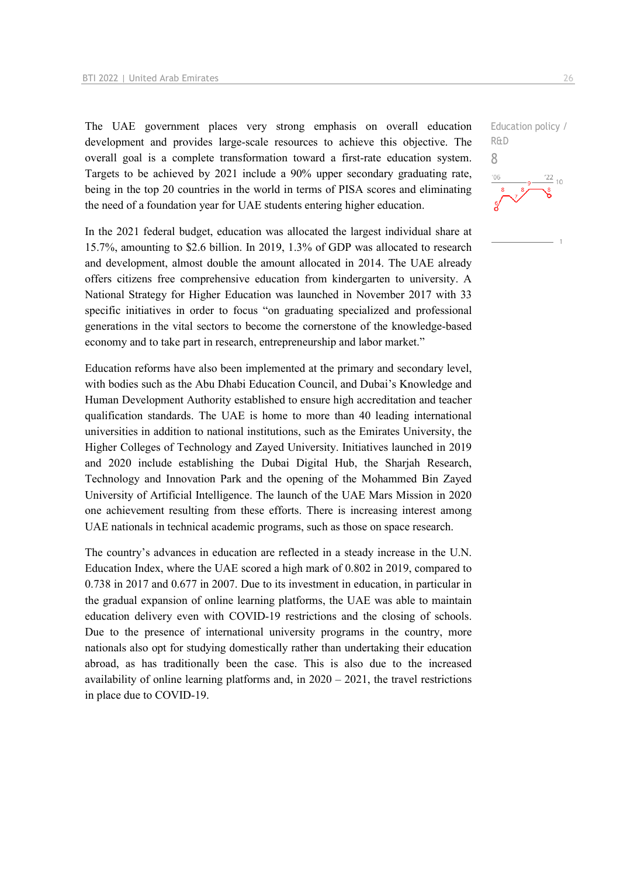The UAE government places very strong emphasis on overall education development and provides large-scale resources to achieve this objective. The overall goal is a complete transformation toward a first-rate education system. Targets to be achieved by 2021 include a 90% upper secondary graduating rate, being in the top 20 countries in the world in terms of PISA scores and eliminating the need of a foundation year for UAE students entering higher education.

In the 2021 federal budget, education was allocated the largest individual share at 15.7%, amounting to \$2.6 billion. In 2019, 1.3% of GDP was allocated to research and development, almost double the amount allocated in 2014. The UAE already offers citizens free comprehensive education from kindergarten to university. A National Strategy for Higher Education was launched in November 2017 with 33 specific initiatives in order to focus "on graduating specialized and professional generations in the vital sectors to become the cornerstone of the knowledge-based economy and to take part in research, entrepreneurship and labor market."

Education reforms have also been implemented at the primary and secondary level, with bodies such as the Abu Dhabi Education Council, and Dubai's Knowledge and Human Development Authority established to ensure high accreditation and teacher qualification standards. The UAE is home to more than 40 leading international universities in addition to national institutions, such as the Emirates University, the Higher Colleges of Technology and Zayed University. Initiatives launched in 2019 and 2020 include establishing the Dubai Digital Hub, the Sharjah Research, Technology and Innovation Park and the opening of the Mohammed Bin Zayed University of Artificial Intelligence. The launch of the UAE Mars Mission in 2020 one achievement resulting from these efforts. There is increasing interest among UAE nationals in technical academic programs, such as those on space research.

The country's advances in education are reflected in a steady increase in the U.N. Education Index, where the UAE scored a high mark of 0.802 in 2019, compared to 0.738 in 2017 and 0.677 in 2007. Due to its investment in education, in particular in the gradual expansion of online learning platforms, the UAE was able to maintain education delivery even with COVID-19 restrictions and the closing of schools. Due to the presence of international university programs in the country, more nationals also opt for studying domestically rather than undertaking their education abroad, as has traditionally been the case. This is also due to the increased availability of online learning platforms and, in  $2020 - 2021$ , the travel restrictions in place due to COVID-19.

Education policy / R&D 8 $\frac{22}{10}$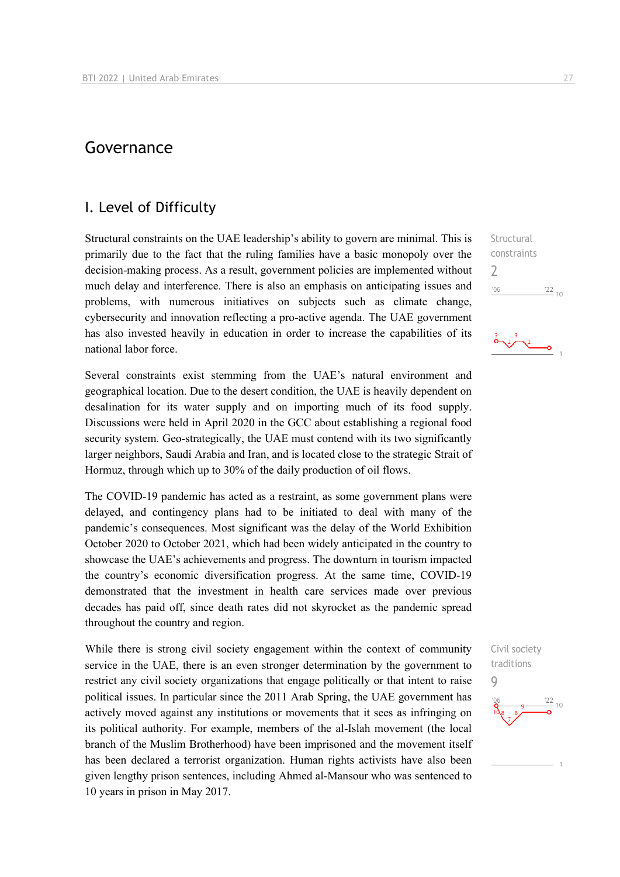## Governance

### I. Level of Difficulty

Structural constraints on the UAE leadership's ability to govern are minimal. This is primarily due to the fact that the ruling families have a basic monopoly over the decision-making process. As a result, government policies are implemented without much delay and interference. There is also an emphasis on anticipating issues and problems, with numerous initiatives on subjects such as climate change, cybersecurity and innovation reflecting a pro-active agenda. The UAE government has also invested heavily in education in order to increase the capabilities of its national labor force.

Several constraints exist stemming from the UAE's natural environment and geographical location. Due to the desert condition, the UAE is heavily dependent on desalination for its water supply and on importing much of its food supply. Discussions were held in April 2020 in the GCC about establishing a regional food security system. Geo-strategically, the UAE must contend with its two significantly larger neighbors, Saudi Arabia and Iran, and is located close to the strategic Strait of Hormuz, through which up to 30% of the daily production of oil flows.

The COVID-19 pandemic has acted as a restraint, as some government plans were delayed, and contingency plans had to be initiated to deal with many of the pandemic's consequences. Most significant was the delay of the World Exhibition October 2020 to October 2021, which had been widely anticipated in the country to showcase the UAE's achievements and progress. The downturn in tourism impacted the country's economic diversification progress. At the same time, COVID-19 demonstrated that the investment in health care services made over previous decades has paid off, since death rates did not skyrocket as the pandemic spread throughout the country and region.

While there is strong civil society engagement within the context of community service in the UAE, there is an even stronger determination by the government to restrict any civil society organizations that engage politically or that intent to raise political issues. In particular since the 2011 Arab Spring, the UAE government has actively moved against any institutions or movements that it sees as infringing on its political authority. For example, members of the al-Islah movement (the local branch of the Muslim Brotherhood) have been imprisoned and the movement itself has been declared a terrorist organization. Human rights activists have also been given lengthy prison sentences, including Ahmed al-Mansour who was sentenced to 10 years in prison in May 2017.

Structural constraints  $\overline{\phantom{a}}$  $\frac{22}{10}$  $'06$ 

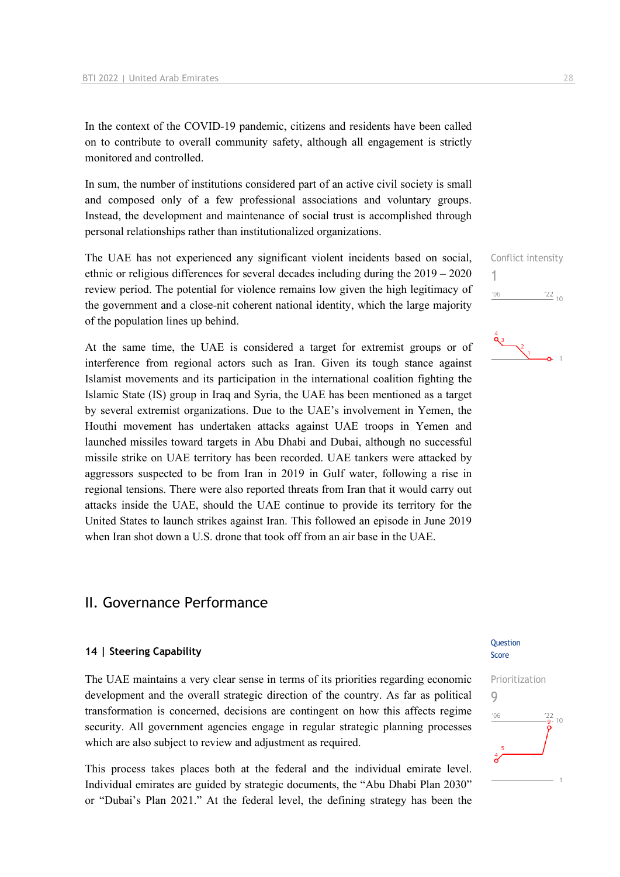In the context of the COVID-19 pandemic, citizens and residents have been called on to contribute to overall community safety, although all engagement is strictly monitored and controlled.

In sum, the number of institutions considered part of an active civil society is small and composed only of a few professional associations and voluntary groups. Instead, the development and maintenance of social trust is accomplished through personal relationships rather than institutionalized organizations.

The UAE has not experienced any significant violent incidents based on social, ethnic or religious differences for several decades including during the 2019 – 2020 review period. The potential for violence remains low given the high legitimacy of the government and a close-nit coherent national identity, which the large majority of the population lines up behind.

At the same time, the UAE is considered a target for extremist groups or of interference from regional actors such as Iran. Given its tough stance against Islamist movements and its participation in the international coalition fighting the Islamic State (IS) group in Iraq and Syria, the UAE has been mentioned as a target by several extremist organizations. Due to the UAE's involvement in Yemen, the Houthi movement has undertaken attacks against UAE troops in Yemen and launched missiles toward targets in Abu Dhabi and Dubai, although no successful missile strike on UAE territory has been recorded. UAE tankers were attacked by aggressors suspected to be from Iran in 2019 in Gulf water, following a rise in regional tensions. There were also reported threats from Iran that it would carry out attacks inside the UAE, should the UAE continue to provide its territory for the United States to launch strikes against Iran. This followed an episode in June 2019 when Iran shot down a U.S. drone that took off from an air base in the UAE.

## II. Governance Performance

#### **14 | Steering Capability**

The UAE maintains a very clear sense in terms of its priorities regarding economic development and the overall strategic direction of the country. As far as political transformation is concerned, decisions are contingent on how this affects regime security. All government agencies engage in regular strategic planning processes which are also subject to review and adjustment as required.

This process takes places both at the federal and the individual emirate level. Individual emirates are guided by strategic documents, the "Abu Dhabi Plan 2030" or "Dubai's Plan 2021." At the federal level, the defining strategy has been the





#### Question Score

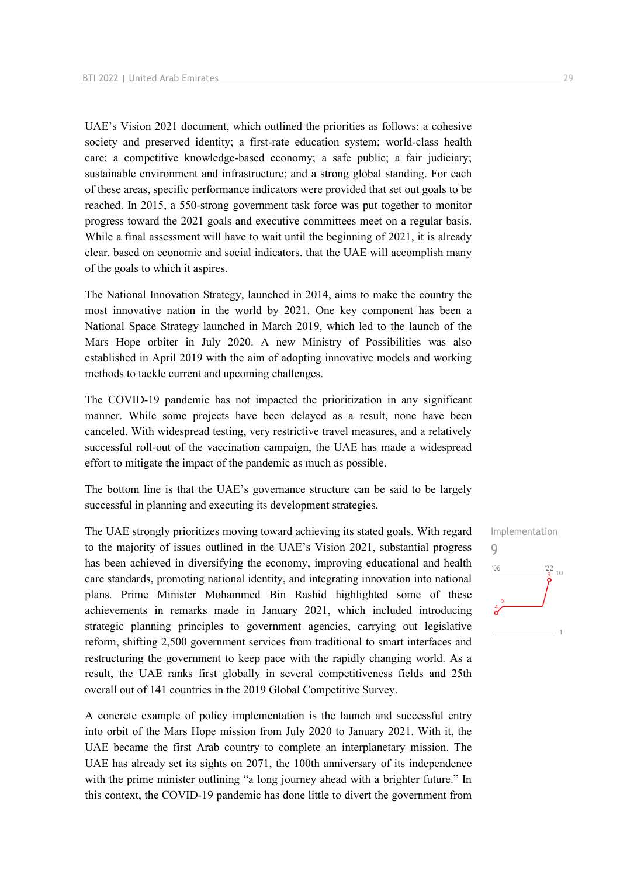UAE's Vision 2021 document, which outlined the priorities as follows: a cohesive society and preserved identity; a first-rate education system; world-class health care; a competitive knowledge-based economy; a safe public; a fair judiciary; sustainable environment and infrastructure; and a strong global standing. For each of these areas, specific performance indicators were provided that set out goals to be reached. In 2015, a 550-strong government task force was put together to monitor progress toward the 2021 goals and executive committees meet on a regular basis. While a final assessment will have to wait until the beginning of 2021, it is already clear. based on economic and social indicators. that the UAE will accomplish many of the goals to which it aspires.

The National Innovation Strategy, launched in 2014, aims to make the country the most innovative nation in the world by 2021. One key component has been a National Space Strategy launched in March 2019, which led to the launch of the Mars Hope orbiter in July 2020. A new Ministry of Possibilities was also established in April 2019 with the aim of adopting innovative models and working methods to tackle current and upcoming challenges.

The COVID-19 pandemic has not impacted the prioritization in any significant manner. While some projects have been delayed as a result, none have been canceled. With widespread testing, very restrictive travel measures, and a relatively successful roll-out of the vaccination campaign, the UAE has made a widespread effort to mitigate the impact of the pandemic as much as possible.

The bottom line is that the UAE's governance structure can be said to be largely successful in planning and executing its development strategies.

The UAE strongly prioritizes moving toward achieving its stated goals. With regard to the majority of issues outlined in the UAE's Vision 2021, substantial progress has been achieved in diversifying the economy, improving educational and health care standards, promoting national identity, and integrating innovation into national plans. Prime Minister Mohammed Bin Rashid highlighted some of these achievements in remarks made in January 2021, which included introducing strategic planning principles to government agencies, carrying out legislative reform, shifting 2,500 government services from traditional to smart interfaces and restructuring the government to keep pace with the rapidly changing world. As a result, the UAE ranks first globally in several competitiveness fields and 25th overall out of 141 countries in the 2019 Global Competitive Survey.

A concrete example of policy implementation is the launch and successful entry into orbit of the Mars Hope mission from July 2020 to January 2021. With it, the UAE became the first Arab country to complete an interplanetary mission. The UAE has already set its sights on 2071, the 100th anniversary of its independence with the prime minister outlining "a long journey ahead with a brighter future." In this context, the COVID-19 pandemic has done little to divert the government from

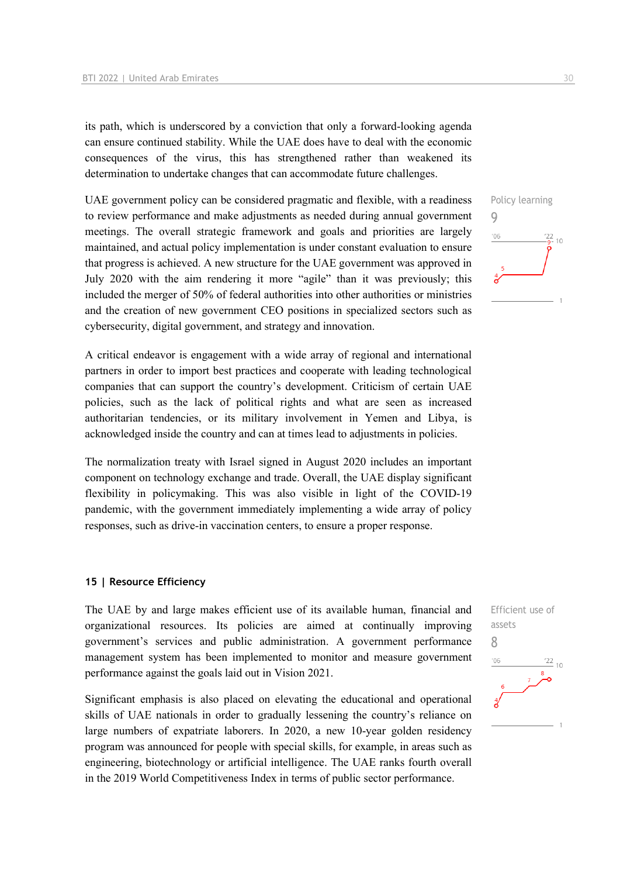its path, which is underscored by a conviction that only a forward-looking agenda can ensure continued stability. While the UAE does have to deal with the economic consequences of the virus, this has strengthened rather than weakened its determination to undertake changes that can accommodate future challenges.

UAE government policy can be considered pragmatic and flexible, with a readiness to review performance and make adjustments as needed during annual government meetings. The overall strategic framework and goals and priorities are largely maintained, and actual policy implementation is under constant evaluation to ensure that progress is achieved. A new structure for the UAE government was approved in July 2020 with the aim rendering it more "agile" than it was previously; this included the merger of 50% of federal authorities into other authorities or ministries and the creation of new government CEO positions in specialized sectors such as cybersecurity, digital government, and strategy and innovation.

A critical endeavor is engagement with a wide array of regional and international partners in order to import best practices and cooperate with leading technological companies that can support the country's development. Criticism of certain UAE policies, such as the lack of political rights and what are seen as increased authoritarian tendencies, or its military involvement in Yemen and Libya, is acknowledged inside the country and can at times lead to adjustments in policies.

The normalization treaty with Israel signed in August 2020 includes an important component on technology exchange and trade. Overall, the UAE display significant flexibility in policymaking. This was also visible in light of the COVID-19 pandemic, with the government immediately implementing a wide array of policy responses, such as drive-in vaccination centers, to ensure a proper response.

#### **15 | Resource Efficiency**

The UAE by and large makes efficient use of its available human, financial and organizational resources. Its policies are aimed at continually improving government's services and public administration. A government performance management system has been implemented to monitor and measure government performance against the goals laid out in Vision 2021.

Significant emphasis is also placed on elevating the educational and operational skills of UAE nationals in order to gradually lessening the country's reliance on large numbers of expatriate laborers. In 2020, a new 10-year golden residency program was announced for people with special skills, for example, in areas such as engineering, biotechnology or artificial intelligence. The UAE ranks fourth overall in the 2019 World Competitiveness Index in terms of public sector performance.



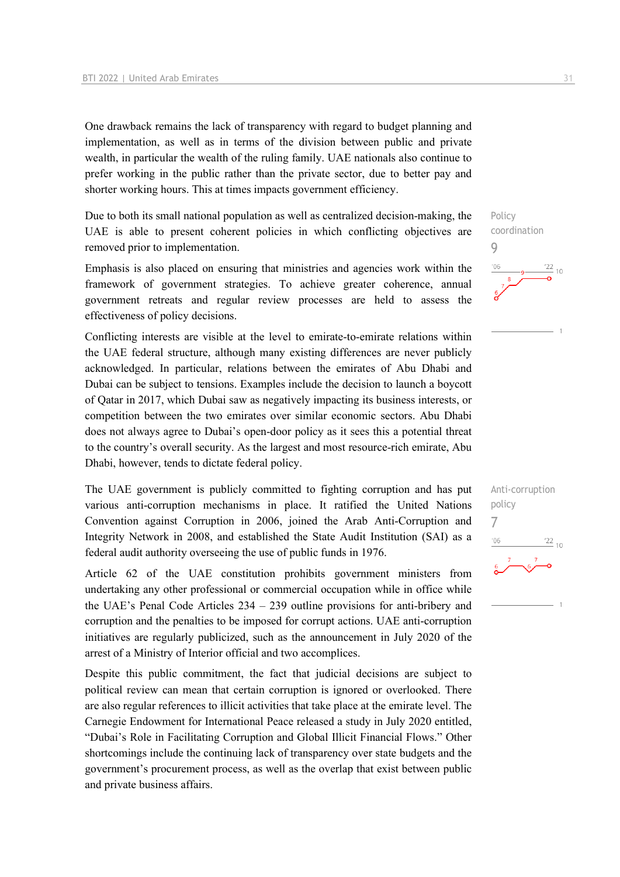One drawback remains the lack of transparency with regard to budget planning and implementation, as well as in terms of the division between public and private wealth, in particular the wealth of the ruling family. UAE nationals also continue to prefer working in the public rather than the private sector, due to better pay and shorter working hours. This at times impacts government efficiency.

Due to both its small national population as well as centralized decision-making, the UAE is able to present coherent policies in which conflicting objectives are removed prior to implementation.

Emphasis is also placed on ensuring that ministries and agencies work within the framework of government strategies. To achieve greater coherence, annual government retreats and regular review processes are held to assess the effectiveness of policy decisions.

Conflicting interests are visible at the level to emirate-to-emirate relations within the UAE federal structure, although many existing differences are never publicly acknowledged. In particular, relations between the emirates of Abu Dhabi and Dubai can be subject to tensions. Examples include the decision to launch a boycott of Qatar in 2017, which Dubai saw as negatively impacting its business interests, or competition between the two emirates over similar economic sectors. Abu Dhabi does not always agree to Dubai's open-door policy as it sees this a potential threat to the country's overall security. As the largest and most resource-rich emirate, Abu Dhabi, however, tends to dictate federal policy.

The UAE government is publicly committed to fighting corruption and has put various anti-corruption mechanisms in place. It ratified the United Nations Convention against Corruption in 2006, joined the Arab Anti-Corruption and Integrity Network in 2008, and established the State Audit Institution (SAI) as a federal audit authority overseeing the use of public funds in 1976.

Article 62 of the UAE constitution prohibits government ministers from undertaking any other professional or commercial occupation while in office while the UAE's Penal Code Articles 234 – 239 outline provisions for anti-bribery and corruption and the penalties to be imposed for corrupt actions. UAE anti-corruption initiatives are regularly publicized, such as the announcement in July 2020 of the arrest of a Ministry of Interior official and two accomplices.

Despite this public commitment, the fact that judicial decisions are subject to political review can mean that certain corruption is ignored or overlooked. There are also regular references to illicit activities that take place at the emirate level. The Carnegie Endowment for International Peace released a study in July 2020 entitled, "Dubai's Role in Facilitating Corruption and Global Illicit Financial Flows." Other shortcomings include the continuing lack of transparency over state budgets and the government's procurement process, as well as the overlap that exist between public and private business affairs.



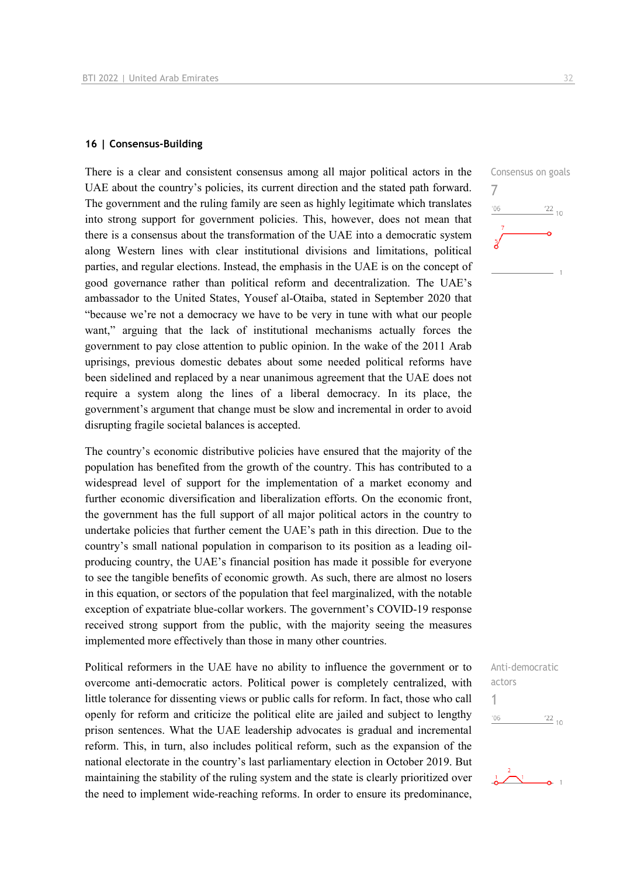#### **16 | Consensus-Building**

There is a clear and consistent consensus among all major political actors in the UAE about the country's policies, its current direction and the stated path forward. The government and the ruling family are seen as highly legitimate which translates into strong support for government policies. This, however, does not mean that there is a consensus about the transformation of the UAE into a democratic system along Western lines with clear institutional divisions and limitations, political parties, and regular elections. Instead, the emphasis in the UAE is on the concept of good governance rather than political reform and decentralization. The UAE's ambassador to the United States, Yousef al-Otaiba, stated in September 2020 that "because we're not a democracy we have to be very in tune with what our people want," arguing that the lack of institutional mechanisms actually forces the government to pay close attention to public opinion. In the wake of the 2011 Arab uprisings, previous domestic debates about some needed political reforms have been sidelined and replaced by a near unanimous agreement that the UAE does not require a system along the lines of a liberal democracy. In its place, the government's argument that change must be slow and incremental in order to avoid disrupting fragile societal balances is accepted.

The country's economic distributive policies have ensured that the majority of the population has benefited from the growth of the country. This has contributed to a widespread level of support for the implementation of a market economy and further economic diversification and liberalization efforts. On the economic front, the government has the full support of all major political actors in the country to undertake policies that further cement the UAE's path in this direction. Due to the country's small national population in comparison to its position as a leading oilproducing country, the UAE's financial position has made it possible for everyone to see the tangible benefits of economic growth. As such, there are almost no losers in this equation, or sectors of the population that feel marginalized, with the notable exception of expatriate blue-collar workers. The government's COVID-19 response received strong support from the public, with the majority seeing the measures implemented more effectively than those in many other countries.

Political reformers in the UAE have no ability to influence the government or to overcome anti-democratic actors. Political power is completely centralized, with little tolerance for dissenting views or public calls for reform. In fact, those who call openly for reform and criticize the political elite are jailed and subject to lengthy prison sentences. What the UAE leadership advocates is gradual and incremental reform. This, in turn, also includes political reform, such as the expansion of the national electorate in the country's last parliamentary election in October 2019. But maintaining the stability of the ruling system and the state is clearly prioritized over the need to implement wide-reaching reforms. In order to ensure its predominance,



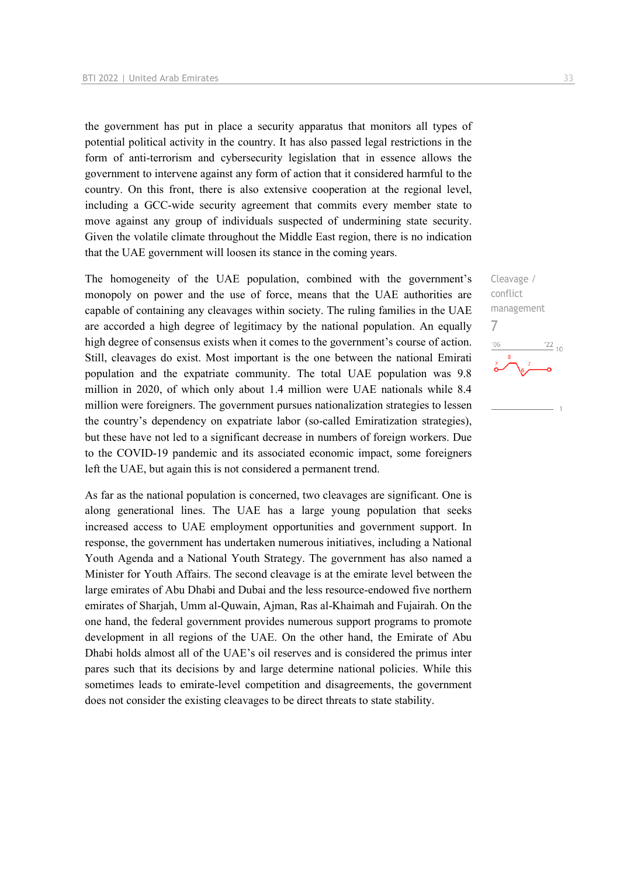the government has put in place a security apparatus that monitors all types of potential political activity in the country. It has also passed legal restrictions in the form of anti-terrorism and cybersecurity legislation that in essence allows the government to intervene against any form of action that it considered harmful to the country. On this front, there is also extensive cooperation at the regional level, including a GCC-wide security agreement that commits every member state to move against any group of individuals suspected of undermining state security. Given the volatile climate throughout the Middle East region, there is no indication that the UAE government will loosen its stance in the coming years.

The homogeneity of the UAE population, combined with the government's monopoly on power and the use of force, means that the UAE authorities are capable of containing any cleavages within society. The ruling families in the UAE are accorded a high degree of legitimacy by the national population. An equally high degree of consensus exists when it comes to the government's course of action. Still, cleavages do exist. Most important is the one between the national Emirati population and the expatriate community. The total UAE population was 9.8 million in 2020, of which only about 1.4 million were UAE nationals while 8.4 million were foreigners. The government pursues nationalization strategies to lessen the country's dependency on expatriate labor (so-called Emiratization strategies), but these have not led to a significant decrease in numbers of foreign workers. Due to the COVID-19 pandemic and its associated economic impact, some foreigners left the UAE, but again this is not considered a permanent trend.

As far as the national population is concerned, two cleavages are significant. One is along generational lines. The UAE has a large young population that seeks increased access to UAE employment opportunities and government support. In response, the government has undertaken numerous initiatives, including a National Youth Agenda and a National Youth Strategy. The government has also named a Minister for Youth Affairs. The second cleavage is at the emirate level between the large emirates of Abu Dhabi and Dubai and the less resource-endowed five northern emirates of Sharjah, Umm al-Quwain, Ajman, Ras al-Khaimah and Fujairah. On the one hand, the federal government provides numerous support programs to promote development in all regions of the UAE. On the other hand, the Emirate of Abu Dhabi holds almost all of the UAE's oil reserves and is considered the primus inter pares such that its decisions by and large determine national policies. While this sometimes leads to emirate-level competition and disagreements, the government does not consider the existing cleavages to be direct threats to state stability.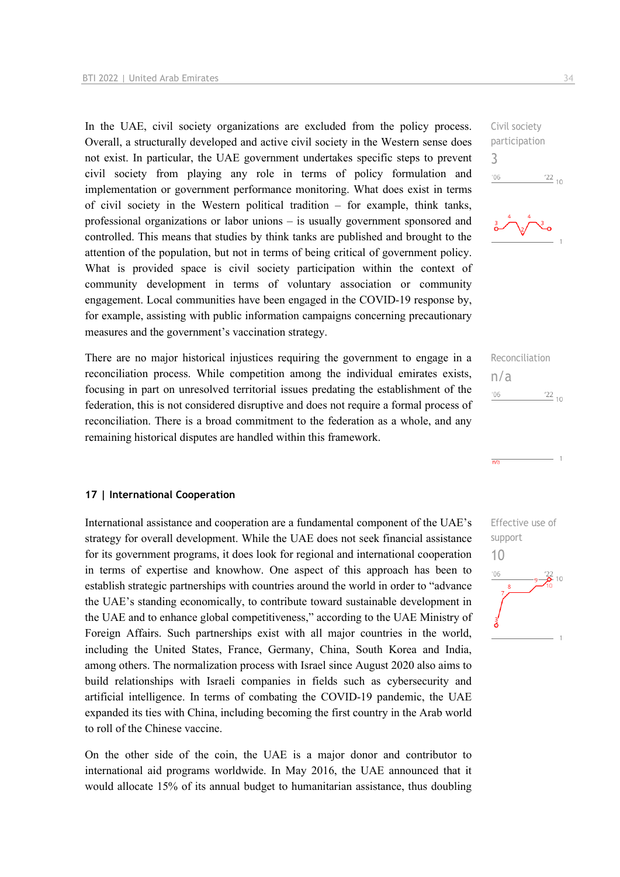In the UAE, civil society organizations are excluded from the policy process. Overall, a structurally developed and active civil society in the Western sense does not exist. In particular, the UAE government undertakes specific steps to prevent civil society from playing any role in terms of policy formulation and implementation or government performance monitoring. What does exist in terms of civil society in the Western political tradition – for example, think tanks, professional organizations or labor unions – is usually government sponsored and controlled. This means that studies by think tanks are published and brought to the attention of the population, but not in terms of being critical of government policy. What is provided space is civil society participation within the context of community development in terms of voluntary association or community engagement. Local communities have been engaged in the COVID-19 response by, for example, assisting with public information campaigns concerning precautionary measures and the government's vaccination strategy.

There are no major historical injustices requiring the government to engage in a reconciliation process. While competition among the individual emirates exists, focusing in part on unresolved territorial issues predating the establishment of the federation, this is not considered disruptive and does not require a formal process of reconciliation. There is a broad commitment to the federation as a whole, and any remaining historical disputes are handled within this framework.

#### **17 | International Cooperation**

International assistance and cooperation are a fundamental component of the UAE's strategy for overall development. While the UAE does not seek financial assistance for its government programs, it does look for regional and international cooperation in terms of expertise and knowhow. One aspect of this approach has been to establish strategic partnerships with countries around the world in order to "advance the UAE's standing economically, to contribute toward sustainable development in the UAE and to enhance global competitiveness," according to the UAE Ministry of Foreign Affairs. Such partnerships exist with all major countries in the world, including the United States, France, Germany, China, South Korea and India, among others. The normalization process with Israel since August 2020 also aims to build relationships with Israeli companies in fields such as cybersecurity and artificial intelligence. In terms of combating the COVID-19 pandemic, the UAE expanded its ties with China, including becoming the first country in the Arab world to roll of the Chinese vaccine.

On the other side of the coin, the UAE is a major donor and contributor to international aid programs worldwide. In May 2016, the UAE announced that it would allocate 15% of its annual budget to humanitarian assistance, thus doubling Civil society participation 3  $-06$  $\frac{22}{10}$ 



Reconciliation n/a  $'06$  $\frac{22}{10}$ 

 $\overline{n/a}$ 

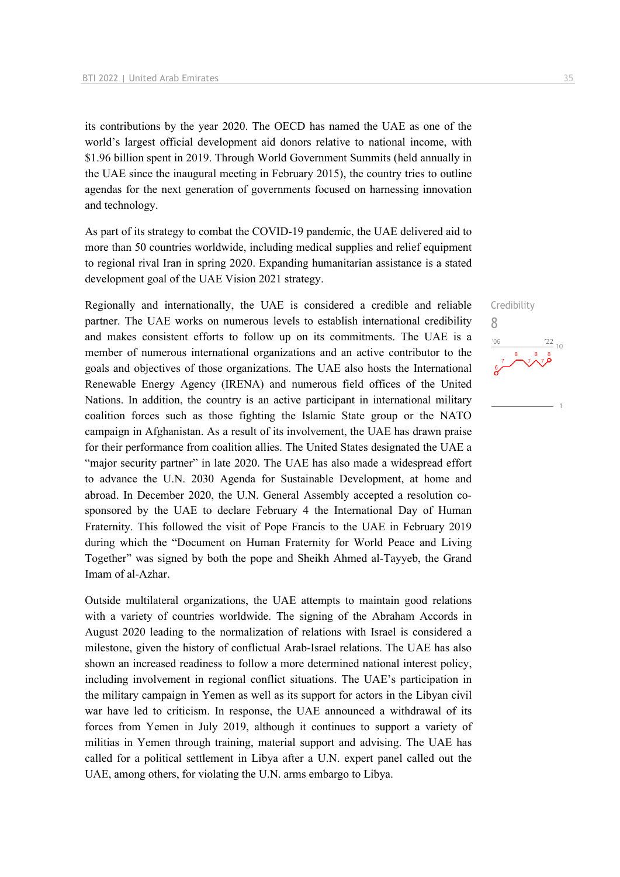its contributions by the year 2020. The OECD has named the UAE as one of the world's largest official development aid donors relative to national income, with \$1.96 billion spent in 2019. Through World Government Summits (held annually in the UAE since the inaugural meeting in February 2015), the country tries to outline agendas for the next generation of governments focused on harnessing innovation and technology.

As part of its strategy to combat the COVID-19 pandemic, the UAE delivered aid to more than 50 countries worldwide, including medical supplies and relief equipment to regional rival Iran in spring 2020. Expanding humanitarian assistance is a stated development goal of the UAE Vision 2021 strategy.

Regionally and internationally, the UAE is considered a credible and reliable partner. The UAE works on numerous levels to establish international credibility and makes consistent efforts to follow up on its commitments. The UAE is a member of numerous international organizations and an active contributor to the goals and objectives of those organizations. The UAE also hosts the International Renewable Energy Agency (IRENA) and numerous field offices of the United Nations. In addition, the country is an active participant in international military coalition forces such as those fighting the Islamic State group or the NATO campaign in Afghanistan. As a result of its involvement, the UAE has drawn praise for their performance from coalition allies. The United States designated the UAE a "major security partner" in late 2020. The UAE has also made a widespread effort to advance the U.N. 2030 Agenda for Sustainable Development, at home and abroad. In December 2020, the U.N. General Assembly accepted a resolution cosponsored by the UAE to declare February 4 the International Day of Human Fraternity. This followed the visit of Pope Francis to the UAE in February 2019 during which the "Document on Human Fraternity for World Peace and Living Together" was signed by both the pope and Sheikh Ahmed al-Tayyeb, the Grand Imam of al-Azhar.

Outside multilateral organizations, the UAE attempts to maintain good relations with a variety of countries worldwide. The signing of the Abraham Accords in August 2020 leading to the normalization of relations with Israel is considered a milestone, given the history of conflictual Arab-Israel relations. The UAE has also shown an increased readiness to follow a more determined national interest policy, including involvement in regional conflict situations. The UAE's participation in the military campaign in Yemen as well as its support for actors in the Libyan civil war have led to criticism. In response, the UAE announced a withdrawal of its forces from Yemen in July 2019, although it continues to support a variety of militias in Yemen through training, material support and advising. The UAE has called for a political settlement in Libya after a U.N. expert panel called out the UAE, among others, for violating the U.N. arms embargo to Libya.

Credibility

 $\frac{22}{10}$ 

8

 $106$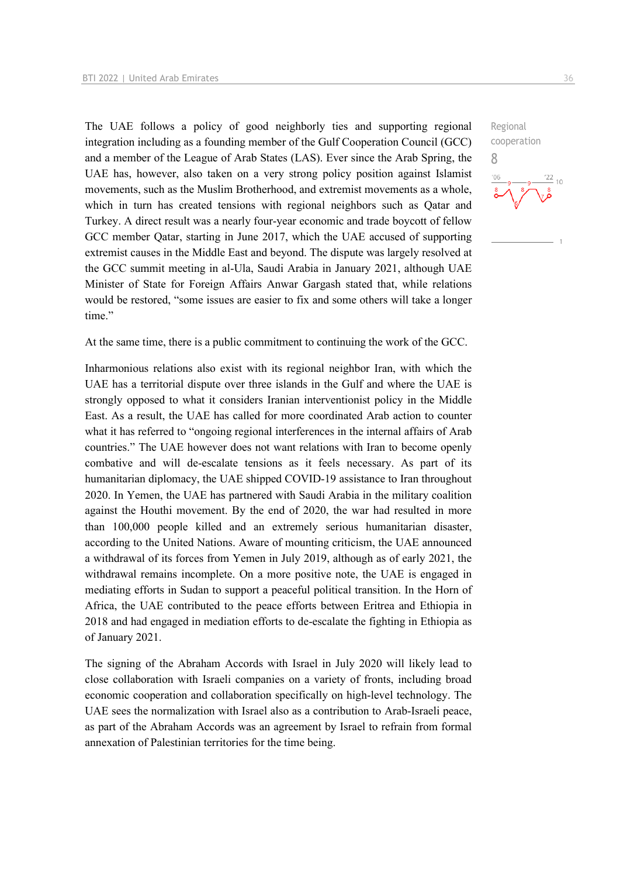The UAE follows a policy of good neighborly ties and supporting regional integration including as a founding member of the Gulf Cooperation Council (GCC) and a member of the League of Arab States (LAS). Ever since the Arab Spring, the UAE has, however, also taken on a very strong policy position against Islamist movements, such as the Muslim Brotherhood, and extremist movements as a whole, which in turn has created tensions with regional neighbors such as Qatar and Turkey. A direct result was a nearly four-year economic and trade boycott of fellow GCC member Qatar, starting in June 2017, which the UAE accused of supporting extremist causes in the Middle East and beyond. The dispute was largely resolved at the GCC summit meeting in al-Ula, Saudi Arabia in January 2021, although UAE Minister of State for Foreign Affairs Anwar Gargash stated that, while relations would be restored, "some issues are easier to fix and some others will take a longer time."

At the same time, there is a public commitment to continuing the work of the GCC.

Inharmonious relations also exist with its regional neighbor Iran, with which the UAE has a territorial dispute over three islands in the Gulf and where the UAE is strongly opposed to what it considers Iranian interventionist policy in the Middle East. As a result, the UAE has called for more coordinated Arab action to counter what it has referred to "ongoing regional interferences in the internal affairs of Arab countries." The UAE however does not want relations with Iran to become openly combative and will de-escalate tensions as it feels necessary. As part of its humanitarian diplomacy, the UAE shipped COVID-19 assistance to Iran throughout 2020. In Yemen, the UAE has partnered with Saudi Arabia in the military coalition against the Houthi movement. By the end of 2020, the war had resulted in more than 100,000 people killed and an extremely serious humanitarian disaster, according to the United Nations. Aware of mounting criticism, the UAE announced a withdrawal of its forces from Yemen in July 2019, although as of early 2021, the withdrawal remains incomplete. On a more positive note, the UAE is engaged in mediating efforts in Sudan to support a peaceful political transition. In the Horn of Africa, the UAE contributed to the peace efforts between Eritrea and Ethiopia in 2018 and had engaged in mediation efforts to de-escalate the fighting in Ethiopia as of January 2021.

The signing of the Abraham Accords with Israel in July 2020 will likely lead to close collaboration with Israeli companies on a variety of fronts, including broad economic cooperation and collaboration specifically on high-level technology. The UAE sees the normalization with Israel also as a contribution to Arab-Israeli peace, as part of the Abraham Accords was an agreement by Israel to refrain from formal annexation of Palestinian territories for the time being.

cooperation 8

Regional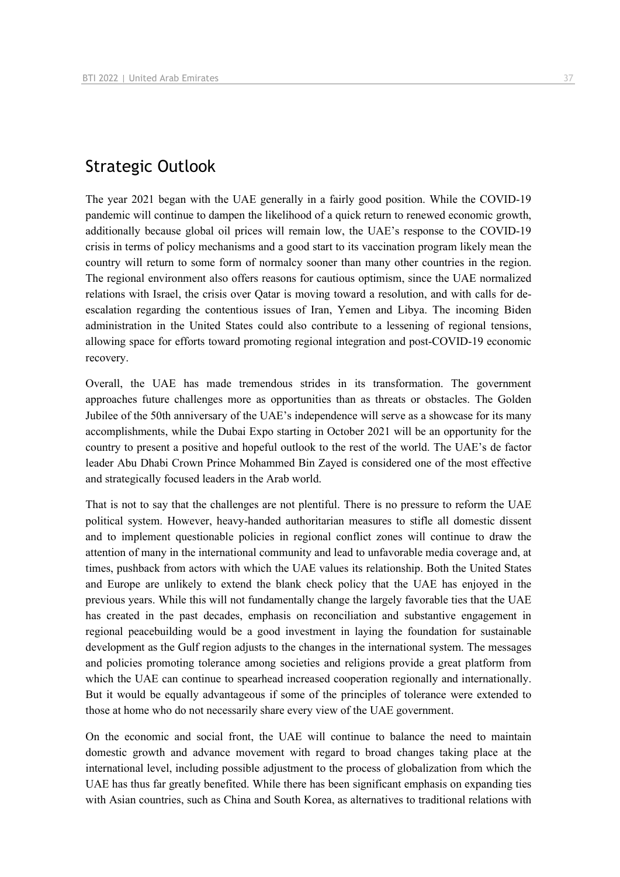## Strategic Outlook

The year 2021 began with the UAE generally in a fairly good position. While the COVID-19 pandemic will continue to dampen the likelihood of a quick return to renewed economic growth, additionally because global oil prices will remain low, the UAE's response to the COVID-19 crisis in terms of policy mechanisms and a good start to its vaccination program likely mean the country will return to some form of normalcy sooner than many other countries in the region. The regional environment also offers reasons for cautious optimism, since the UAE normalized relations with Israel, the crisis over Qatar is moving toward a resolution, and with calls for deescalation regarding the contentious issues of Iran, Yemen and Libya. The incoming Biden administration in the United States could also contribute to a lessening of regional tensions, allowing space for efforts toward promoting regional integration and post-COVID-19 economic recovery.

Overall, the UAE has made tremendous strides in its transformation. The government approaches future challenges more as opportunities than as threats or obstacles. The Golden Jubilee of the 50th anniversary of the UAE's independence will serve as a showcase for its many accomplishments, while the Dubai Expo starting in October 2021 will be an opportunity for the country to present a positive and hopeful outlook to the rest of the world. The UAE's de factor leader Abu Dhabi Crown Prince Mohammed Bin Zayed is considered one of the most effective and strategically focused leaders in the Arab world.

That is not to say that the challenges are not plentiful. There is no pressure to reform the UAE political system. However, heavy-handed authoritarian measures to stifle all domestic dissent and to implement questionable policies in regional conflict zones will continue to draw the attention of many in the international community and lead to unfavorable media coverage and, at times, pushback from actors with which the UAE values its relationship. Both the United States and Europe are unlikely to extend the blank check policy that the UAE has enjoyed in the previous years. While this will not fundamentally change the largely favorable ties that the UAE has created in the past decades, emphasis on reconciliation and substantive engagement in regional peacebuilding would be a good investment in laying the foundation for sustainable development as the Gulf region adjusts to the changes in the international system. The messages and policies promoting tolerance among societies and religions provide a great platform from which the UAE can continue to spearhead increased cooperation regionally and internationally. But it would be equally advantageous if some of the principles of tolerance were extended to those at home who do not necessarily share every view of the UAE government.

On the economic and social front, the UAE will continue to balance the need to maintain domestic growth and advance movement with regard to broad changes taking place at the international level, including possible adjustment to the process of globalization from which the UAE has thus far greatly benefited. While there has been significant emphasis on expanding ties with Asian countries, such as China and South Korea, as alternatives to traditional relations with